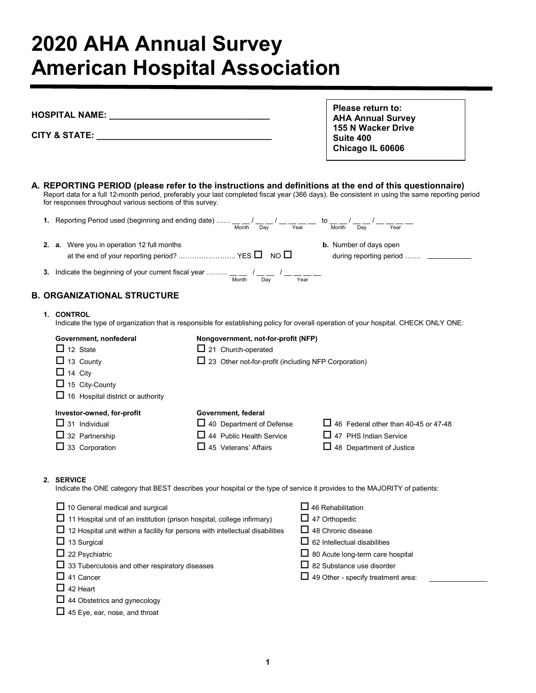# **2020 AHA Annual Survey American Hospital Association**

| <b>HOSPITAL NAME:</b>                                                                                                                                                                                                                                                                                                                                                                                                                       |                                                                                                                                | <b>AHA Annual Survey</b><br>155 N Wacker Drive<br>Suite 400<br>Chicago IL 60606                                                                                                                                                                            |
|---------------------------------------------------------------------------------------------------------------------------------------------------------------------------------------------------------------------------------------------------------------------------------------------------------------------------------------------------------------------------------------------------------------------------------------------|--------------------------------------------------------------------------------------------------------------------------------|------------------------------------------------------------------------------------------------------------------------------------------------------------------------------------------------------------------------------------------------------------|
| for responses throughout various sections of this survey.                                                                                                                                                                                                                                                                                                                                                                                   |                                                                                                                                | A. REPORTING PERIOD (please refer to the instructions and definitions at the end of this questionnaire)<br>Report data for a full 12-month period, preferably your last completed fiscal year (366 days). Be consistent in using the same reporting period |
| 1. Reporting Period used (beginning and ending date) $\frac{1}{\text{Month}} / \frac{1}{\text{Day}}$ $\frac{1}{\text{Year}}$ $\frac{1}{\text{Year}}$ $\frac{1}{\text{Month}}$ $\frac{1}{\text{Day}}$ $\frac{1}{\text{Year}}$ $\frac{1}{\text{Year}}$                                                                                                                                                                                        |                                                                                                                                |                                                                                                                                                                                                                                                            |
| 2. a. Were you in operation 12 full months                                                                                                                                                                                                                                                                                                                                                                                                  |                                                                                                                                | <b>b.</b> Number of days open<br>during reporting period  ___________                                                                                                                                                                                      |
| 3. Indicate the beginning of your current fiscal year $\frac{1}{\text{Month}}$ / $\frac{1}{\text{Day}}$ / $\frac{1}{\text{Year}}$ —                                                                                                                                                                                                                                                                                                         |                                                                                                                                |                                                                                                                                                                                                                                                            |
| <b>B. ORGANIZATIONAL STRUCTURE</b>                                                                                                                                                                                                                                                                                                                                                                                                          |                                                                                                                                |                                                                                                                                                                                                                                                            |
| 1. CONTROL                                                                                                                                                                                                                                                                                                                                                                                                                                  |                                                                                                                                | Indicate the type of organization that is responsible for establishing policy for overall operation of your hospital. CHECK ONLY ONE:                                                                                                                      |
| Government, nonfederal<br>$\Box$ 12 State<br>$\Box$ 13 County<br>$\Box$ 14 City<br>$\Box$ 15 City-County<br>$\Box$ 16 Hospital district or authority                                                                                                                                                                                                                                                                                        | Nongovernment, not-for-profit (NFP)<br>$\Box$ 21 Church-operated<br>$\Box$ 23 Other not-for-profit (including NFP Corporation) |                                                                                                                                                                                                                                                            |
| Investor-owned, for-profit<br>$\Box$ 31 Individual<br>$\Box$ 32 Partnership<br>$\Box$ 33 Corporation                                                                                                                                                                                                                                                                                                                                        | Government, federal<br>40 Department of Defense<br>$\Box$ 44 Public Health Service<br>$\Box$ 45 Veterans' Affairs              | $\Box$ 46 Federal other than 40-45 or 47-48<br>$\Box$ 47 PHS Indian Service<br>$\Box$ 48 Department of Justice                                                                                                                                             |
| 2. SERVICE                                                                                                                                                                                                                                                                                                                                                                                                                                  |                                                                                                                                | Indicate the ONE category that BEST describes your hospital or the type of service it provides to the MAJORITY of patients:                                                                                                                                |
| −<br>$\Box$ 10 General medical and surgical<br>$\Box$ 11 Hospital unit of an institution (prison hospital, college infirmary)<br>$\Box$ 12 Hospital unit within a facility for persons with intellectual disabilities<br>$\Box$ 13 Surgical<br>$\Box$ 22 Psychiatric<br>33 Tuberculosis and other respiratory diseases<br>41 Cancer<br>LΙ<br>$\Box$ 42 Heart<br>$\Box$ 44 Obstetrics and gynecology<br>$\Box$ 45 Eye, ear, nose, and throat |                                                                                                                                | -<br>$\Box$ 46 Rehabilitation<br>$\Box$ 47 Orthopedic<br>48 Chronic disease<br>LΙ<br>$\Box$ 62 Intellectual disabilities<br>$\Box$ 80 Acute long-term care hospital<br>82 Substance use disorder<br>ப<br>49 Other - specify treatment area:<br>ப           |

**Please return to:**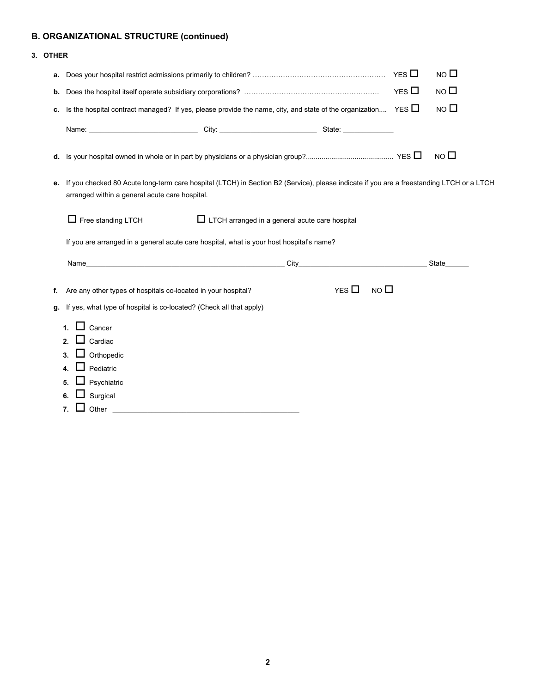# **B. ORGANIZATIONAL STRUCTURE (continued)**

| <b>OTHER</b> |
|--------------|

| а.       |                                                                                                                                                                                            |            | YES $\Box$      | NO <sub>1</sub>  |  |  |  |
|----------|--------------------------------------------------------------------------------------------------------------------------------------------------------------------------------------------|------------|-----------------|------------------|--|--|--|
| b.       |                                                                                                                                                                                            |            | YES $\Box$      | NO <sub>II</sub> |  |  |  |
| с.       | Is the hospital contract managed? If yes, please provide the name, city, and state of the organization YES $\Box$                                                                          |            |                 | NO <sub>1</sub>  |  |  |  |
|          | Name: _________________________________City: ___________________________________State: __________________                                                                                  |            |                 |                  |  |  |  |
|          |                                                                                                                                                                                            |            |                 | NO <sub>1</sub>  |  |  |  |
| е.       | If you checked 80 Acute long-term care hospital (LTCH) in Section B2 (Service), please indicate if you are a freestanding LTCH or a LTCH<br>arranged within a general acute care hospital. |            |                 |                  |  |  |  |
|          | □ LTCH arranged in a general acute care hospital<br>$\Box$ Free standing LTCH                                                                                                              |            |                 |                  |  |  |  |
|          | If you are arranged in a general acute care hospital, what is your host hospital's name?                                                                                                   |            |                 |                  |  |  |  |
|          |                                                                                                                                                                                            |            |                 |                  |  |  |  |
| f.<br>g. | Are any other types of hospitals co-located in your hospital?<br>If yes, what type of hospital is co-located? (Check all that apply)                                                       | YES $\Box$ | NO <sub>1</sub> |                  |  |  |  |
| 6.       | Cancer<br>Cardiac<br>2.<br>Orthopedic<br>3.<br>$\Box$ Pediatric<br>Psychiatric<br>5.                                                                                                       |            |                 |                  |  |  |  |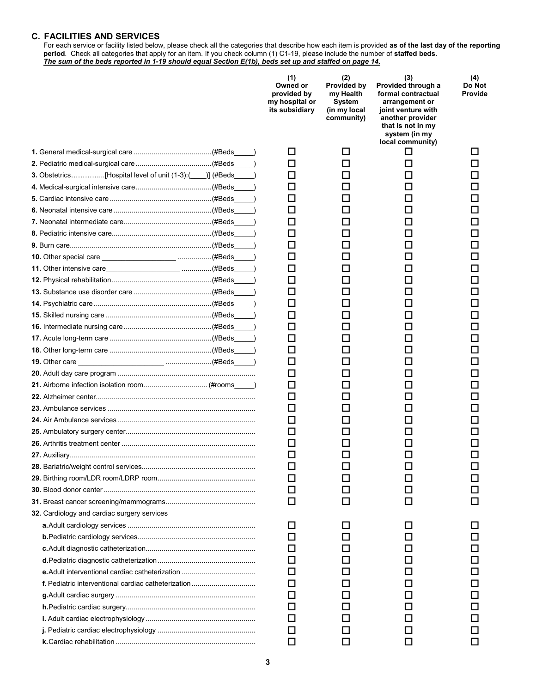### **C. FACILITIES AND SERVICES**

For each service or facility listed below, please check all the categories that describe how each item is provided **as of the last day of the reporting period**. Check all categories that apply for an item. If you check column (1) C1-19, please include the number of **staffed beds**. *The sum of the beds reported in 1-19 should equal Section E(1b), beds set up and staffed on page 14.*

|                                                                         | (1)<br>Owned or<br>provided by<br>my hospital or<br>its subsidiary | (2)<br>Provided by<br>my Health<br>System<br>(in my local<br>community) | (3)<br>Provided through a<br>formal contractual<br>arrangement or<br>joint venture with<br>another provider<br>that is not in my<br>system (in my<br>local community) | (4)<br>Do Not<br><b>Provide</b> |
|-------------------------------------------------------------------------|--------------------------------------------------------------------|-------------------------------------------------------------------------|-----------------------------------------------------------------------------------------------------------------------------------------------------------------------|---------------------------------|
|                                                                         |                                                                    | ΙI                                                                      | ΙI                                                                                                                                                                    |                                 |
|                                                                         |                                                                    | ΙI                                                                      |                                                                                                                                                                       |                                 |
| <b>3.</b> Obstetrics…………….[Hospital level of unit (1-3):(____)] (#Beds_ |                                                                    |                                                                         |                                                                                                                                                                       |                                 |
|                                                                         |                                                                    |                                                                         |                                                                                                                                                                       |                                 |
|                                                                         |                                                                    |                                                                         |                                                                                                                                                                       |                                 |
|                                                                         |                                                                    |                                                                         |                                                                                                                                                                       |                                 |
|                                                                         |                                                                    |                                                                         |                                                                                                                                                                       |                                 |
|                                                                         |                                                                    |                                                                         |                                                                                                                                                                       |                                 |
|                                                                         |                                                                    |                                                                         |                                                                                                                                                                       |                                 |
|                                                                         |                                                                    |                                                                         |                                                                                                                                                                       |                                 |
|                                                                         |                                                                    |                                                                         |                                                                                                                                                                       |                                 |
|                                                                         |                                                                    |                                                                         |                                                                                                                                                                       |                                 |
|                                                                         |                                                                    |                                                                         |                                                                                                                                                                       |                                 |
|                                                                         |                                                                    |                                                                         |                                                                                                                                                                       |                                 |
|                                                                         |                                                                    |                                                                         |                                                                                                                                                                       |                                 |
|                                                                         |                                                                    | H                                                                       |                                                                                                                                                                       |                                 |
|                                                                         |                                                                    |                                                                         |                                                                                                                                                                       |                                 |
|                                                                         |                                                                    |                                                                         |                                                                                                                                                                       |                                 |
|                                                                         |                                                                    |                                                                         |                                                                                                                                                                       |                                 |
|                                                                         |                                                                    |                                                                         |                                                                                                                                                                       |                                 |
|                                                                         |                                                                    |                                                                         |                                                                                                                                                                       |                                 |
|                                                                         |                                                                    |                                                                         |                                                                                                                                                                       |                                 |
|                                                                         |                                                                    |                                                                         |                                                                                                                                                                       |                                 |
|                                                                         |                                                                    |                                                                         |                                                                                                                                                                       |                                 |
|                                                                         |                                                                    |                                                                         |                                                                                                                                                                       |                                 |
|                                                                         | ப                                                                  |                                                                         |                                                                                                                                                                       |                                 |
|                                                                         | ┍                                                                  |                                                                         |                                                                                                                                                                       |                                 |
|                                                                         |                                                                    |                                                                         |                                                                                                                                                                       |                                 |
|                                                                         |                                                                    |                                                                         |                                                                                                                                                                       |                                 |
|                                                                         | ΙI                                                                 |                                                                         |                                                                                                                                                                       |                                 |
| 32. Cardiology and cardiac surgery services                             |                                                                    |                                                                         |                                                                                                                                                                       |                                 |
|                                                                         |                                                                    |                                                                         |                                                                                                                                                                       |                                 |
|                                                                         |                                                                    |                                                                         |                                                                                                                                                                       |                                 |
|                                                                         |                                                                    |                                                                         |                                                                                                                                                                       |                                 |
|                                                                         |                                                                    |                                                                         |                                                                                                                                                                       |                                 |
| e.Adult interventional cardiac catheterization                          |                                                                    |                                                                         |                                                                                                                                                                       |                                 |
| f. Pediatric interventional cardiac catheterization                     | l l                                                                |                                                                         |                                                                                                                                                                       |                                 |
|                                                                         | ΙI                                                                 |                                                                         |                                                                                                                                                                       |                                 |
|                                                                         | ΙI                                                                 |                                                                         |                                                                                                                                                                       |                                 |
|                                                                         | ΙI                                                                 |                                                                         |                                                                                                                                                                       |                                 |
|                                                                         | ΙI                                                                 |                                                                         |                                                                                                                                                                       |                                 |
|                                                                         | □                                                                  | ΙI                                                                      | ΙI                                                                                                                                                                    |                                 |
|                                                                         |                                                                    |                                                                         |                                                                                                                                                                       |                                 |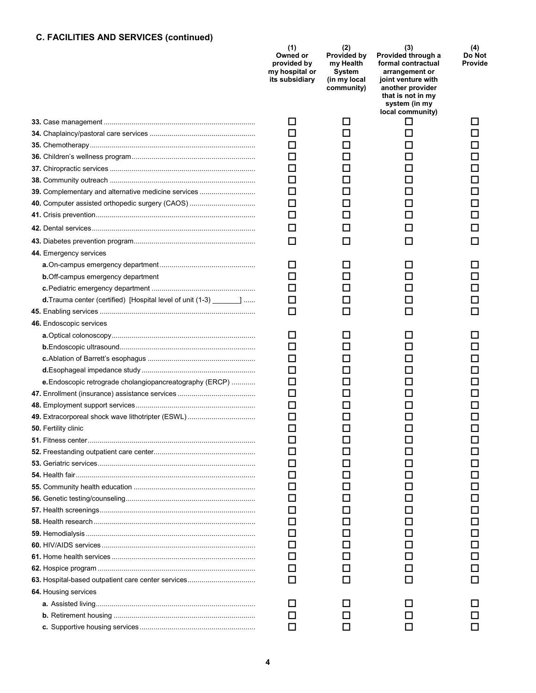|                                                                                                                                                                                          | (1)<br>Owned or<br>provided by<br>my hospital or<br>its subsidiary                 | (2)<br><b>Provided by</b><br>my Health<br>System<br>(in my local<br>community) | (3)<br>Provided through a<br>formal contractual<br>arrangement or<br>joint venture with<br>another provider<br>that is not in my<br>system (in my<br>local community) | (4)<br>Do Not<br><b>Provide</b> |
|------------------------------------------------------------------------------------------------------------------------------------------------------------------------------------------|------------------------------------------------------------------------------------|--------------------------------------------------------------------------------|-----------------------------------------------------------------------------------------------------------------------------------------------------------------------|---------------------------------|
| 39. Complementary and alternative medicine services<br>40. Computer assisted orthopedic surgery (CAOS)                                                                                   | ப<br>П<br>□<br>ப<br>□<br>□<br>□<br>□<br>П                                          | ப<br>П<br>П<br>ΙI<br>П<br>ΙI<br>П<br>ΙI<br>ΙI                                  | □<br>ப<br>П<br>ΙI<br>ΙI<br>ΙI<br>П<br>ΙI<br>П                                                                                                                         |                                 |
| 44. Emergency services                                                                                                                                                                   | □<br>□                                                                             | ΙI<br>ΙI                                                                       | ΙI<br>ΙI                                                                                                                                                              | $\mathsf{L}$                    |
| <b>b.</b> Off-campus emergency department<br><b>d.</b> Trauma center (certified) [Hospital level of unit (1-3) _____________________                                                     | ΙI<br>П<br>ப<br>□<br>П                                                             | ΙI<br>П<br>ΙI<br>П<br>П                                                        | ΙI<br>□<br>ΙI                                                                                                                                                         |                                 |
| 46. Endoscopic services<br>e. Endoscopic retrograde cholangiopancreatography (ERCP)<br>49. Extracorporeal shock wave lithotripter (ESWL)<br>50. Fertility clinic<br>64. Housing services | ப<br>П<br>ΙI<br>□<br>П<br>П<br>П<br>□<br>□<br>ΙI<br>ΙI<br>ப<br>ப<br>LΙ<br>ΙI<br>ΙI | ΙI<br>ΙI<br>П<br>ΙI<br>ΙI<br>П<br>ΙI<br>П                                      | ΙI<br>l I<br>ΙI<br>ΙI<br>□                                                                                                                                            | □                               |
|                                                                                                                                                                                          | ப                                                                                  |                                                                                |                                                                                                                                                                       |                                 |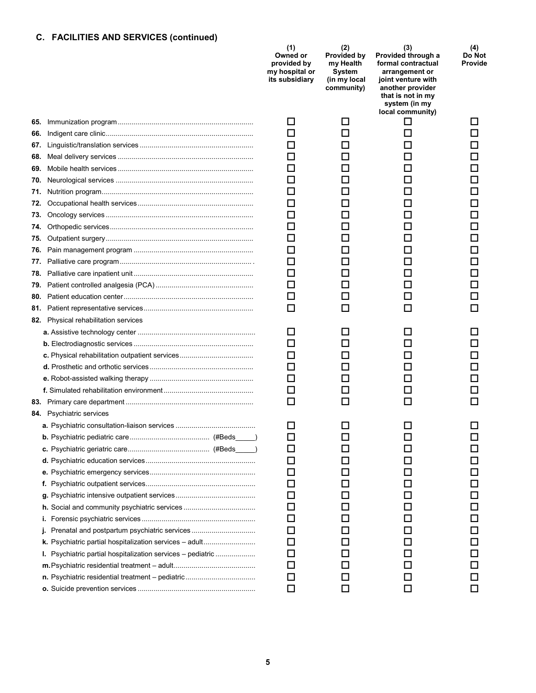### **provided by my hospital or its subsidiary my Health System (in my local community) formal contractual arrangement or joint venture with another provider that is not in my system (in my local community) Provide 65.** Immunization program.................................................................... **66.** Indigent care clinic.......................................................................... **67.** Linguistic/translation services ......................................................... **68.** Meal delivery services .................................................................... **69.** Mobile health services .................................................................... **70.** Neurological services ..................................................................... **71.** Nutrition program............................................................................ **72.** Occupational health services.......................................................... **73.** Oncology services .......................................................................... **74.** Orthopedic services........................................................................ **75.** Outpatient surgery.......................................................................... **76.** Pain management program ............................................................ **77.** Palliative care program.................................................................. . **78.** Palliative care inpatient unit ............................................................ **79.** Patient controlled analgesia (PCA)................................................. **80.** Patient education center................................................................. **81.** Patient representative services....................................................... **82.** Physical rehabilitation services **a.** Assistive technology center ........................................................... **b.** Electrodiagnostic services ............................................................ **c.** Physical rehabilitation outpatient services..................................... **d.** Prosthetic and orthotic services .................................................... **e.** Robot-assisted walking therapy .................................................... **f.** Simulated rehabilitation environment............................................. **83.** Primary care department ................................................................ **84.** Psychiatric services **a.** Psychiatric consultation-liaison services ........................................ **b.** Psychiatric pediatric care........................................ (#Beds\_\_\_\_\_) **c.** Psychiatric geriatric care......................................... (#Beds\_\_\_\_\_) **d.** Psychiatric education services....................................................... **e.** Psychiatric emergency services..................................................... **f.** Psychiatric outpatient services....................................................... **g.** Psychiatric intensive outpatient services........................................ **h.** Social and community psychiatric services .................................... **i.** Forensic psychiatric services ......................................................... **j.** Prenatal and postpartum psychiatric services ................................ **k.** Psychiatric partial hospitalization services – adult.......................... **l.** Psychiatric partial hospitalization services – pediatric .................... **m.**Psychiatric residential treatment – adult.........................................

**(1) Owned or** 

**(2) Provided by** 

**(3) Provided through a**

**(4) Do Not** 

### **C. FACILITIES AND SERVICES (continued)**

**n.** Psychiatric residential treatment – pediatric ................................... **o.** Suicide prevention services ...........................................................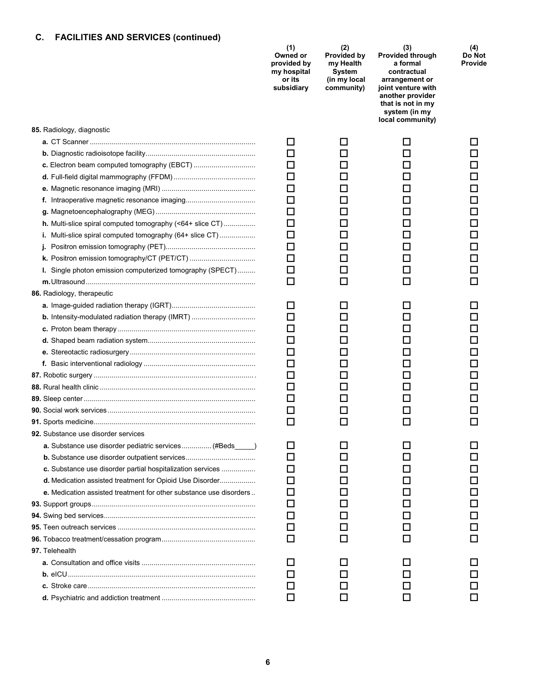|                                                                                                                                                                                                                                                                                                            | (1)<br>Owned or<br>provided by<br>my hospital<br>or its<br>subsidiary | (2)<br><b>Provided by</b><br>my Health<br>System<br>(in my local<br>community) | (3)<br><b>Provided through</b><br>a formal<br>contractual<br>arrangement or<br>joint venture with<br>another provider<br>that is not in my<br>system (in my<br>local community) | (4)<br>Do Not<br><b>Provide</b>                                       |
|------------------------------------------------------------------------------------------------------------------------------------------------------------------------------------------------------------------------------------------------------------------------------------------------------------|-----------------------------------------------------------------------|--------------------------------------------------------------------------------|---------------------------------------------------------------------------------------------------------------------------------------------------------------------------------|-----------------------------------------------------------------------|
| 85. Radiology, diagnostic<br>h. Multi-slice spiral computed tomography (<64+ slice CT)<br><b>i.</b> Multi-slice spiral computed tomography (64+ slice CT)<br>j.<br>I. Single photon emission computerized tomography (SPECT)<br>86. Radiology, therapeutic                                                 | ப<br>П<br>П<br>П<br>П<br>ΙI<br>П<br>П<br>П<br>П<br>ΙI<br>□<br>П       | ΙI<br>l I<br>ΙI<br>П<br>ΙI<br>ΙI<br>ΙI<br>ΙI<br>ΙI<br>ΙI<br>П<br>ΙI            | ப<br>ΙI<br>П<br>ΙI<br>ΙI<br>П<br>П<br>ΙI<br>ΙI<br>□<br>ΙI                                                                                                                       | l I<br>$\sqcup$<br>$\sqcup$<br>$\blacksquare$<br>l I<br>ΙI<br>□<br>ΙI |
| <b>b.</b> Intensity-modulated radiation therapy (IMRT)                                                                                                                                                                                                                                                     | ΙI<br>П<br>l I<br>П<br>ΙI<br>□<br>□<br>ΙI<br>□<br>□<br>□              | ப<br>ΙI<br>ΙI<br>□<br>ΙI<br>ΙI<br>П<br>ΙI<br>□                                 | ப<br>ப<br>ΙI<br>ΙI<br>□<br>□<br>ப<br>п<br>□<br>□                                                                                                                                | $\sqcup$<br>$\mathsf{I}$<br>□<br>□<br>$\sqcup$<br>□<br>□<br>□         |
| 92. Substance use disorder services<br><b>a.</b> Substance use disorder pediatric services (#Beds )<br>c. Substance use disorder partial hospitalization services<br>d. Medication assisted treatment for Opioid Use Disorder<br><b>e.</b> Medication assisted treatment for other substance use disorders | ΙI<br>ΙI<br>ΙI                                                        |                                                                                |                                                                                                                                                                                 |                                                                       |
| 97. Telehealth                                                                                                                                                                                                                                                                                             |                                                                       |                                                                                |                                                                                                                                                                                 |                                                                       |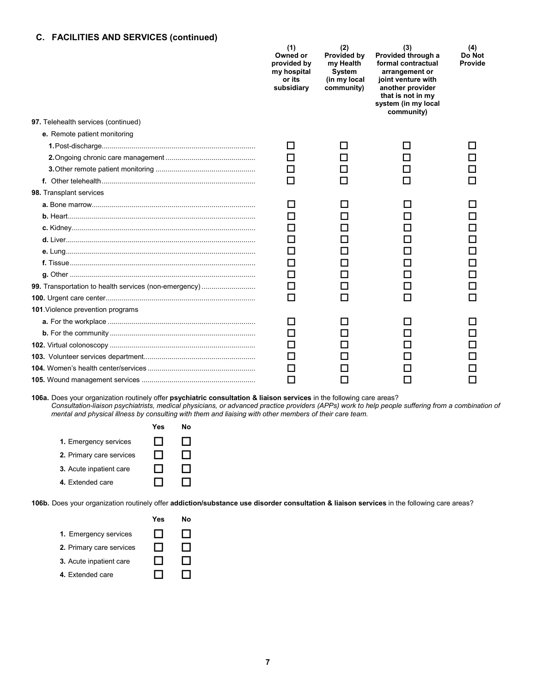|                                                              | (1)<br>Owned or<br>provided by<br>my hospital<br>or its<br>subsidiary | (2)<br><b>Provided by</b><br>my Health<br>System<br>(in my local<br>community) | (3)<br>Provided through a<br>formal contractual<br>arrangement or<br>joint venture with<br>another provider<br>that is not in my<br>system (in my local<br>community) | (4)<br>Do Not<br><b>Provide</b> |
|--------------------------------------------------------------|-----------------------------------------------------------------------|--------------------------------------------------------------------------------|-----------------------------------------------------------------------------------------------------------------------------------------------------------------------|---------------------------------|
| 97. Telehealth services (continued)                          |                                                                       |                                                                                |                                                                                                                                                                       |                                 |
| e. Remote patient monitoring                                 |                                                                       |                                                                                |                                                                                                                                                                       |                                 |
|                                                              | □                                                                     | ΙI                                                                             | ΙI                                                                                                                                                                    |                                 |
|                                                              | П                                                                     |                                                                                |                                                                                                                                                                       |                                 |
|                                                              | П                                                                     |                                                                                |                                                                                                                                                                       |                                 |
|                                                              | П                                                                     | l I                                                                            | l I                                                                                                                                                                   |                                 |
| 98. Transplant services                                      |                                                                       |                                                                                |                                                                                                                                                                       |                                 |
|                                                              |                                                                       |                                                                                |                                                                                                                                                                       |                                 |
|                                                              |                                                                       |                                                                                |                                                                                                                                                                       |                                 |
|                                                              | $\blacksquare$                                                        |                                                                                |                                                                                                                                                                       |                                 |
|                                                              | □                                                                     | l I                                                                            |                                                                                                                                                                       |                                 |
|                                                              | П                                                                     |                                                                                |                                                                                                                                                                       |                                 |
|                                                              | П                                                                     |                                                                                |                                                                                                                                                                       |                                 |
|                                                              | П                                                                     |                                                                                |                                                                                                                                                                       |                                 |
| <b>99.</b> Transportation to health services (non-emergency) | П                                                                     |                                                                                |                                                                                                                                                                       |                                 |
|                                                              | П                                                                     | ΙI                                                                             |                                                                                                                                                                       |                                 |
| <b>101</b> . Violence prevention programs                    |                                                                       |                                                                                |                                                                                                                                                                       |                                 |
|                                                              | ΙI                                                                    | LΙ                                                                             |                                                                                                                                                                       |                                 |
|                                                              | П                                                                     |                                                                                |                                                                                                                                                                       |                                 |
|                                                              |                                                                       |                                                                                |                                                                                                                                                                       |                                 |
|                                                              | П                                                                     |                                                                                |                                                                                                                                                                       |                                 |
|                                                              | П                                                                     |                                                                                |                                                                                                                                                                       |                                 |
|                                                              | П                                                                     | l I                                                                            | П                                                                                                                                                                     | П                               |

**106a.** Does your organization routinely offer **psychiatric consultation & liaison services** in the following care areas? *Consultation-liaison psychiatrists, medical physicians, or advanced practice providers (APPs) work to help people suffering from a combination of mental and physical illness by consulting with them and liaising with other members of their care team.*

|                          | Yes | N٥ |
|--------------------------|-----|----|
| 1. Emergency services    |     |    |
| 2. Primary care services |     |    |
| 3. Acute inpatient care  |     |    |
| 4. Extended care         |     |    |
|                          |     |    |

**106b.** Does your organization routinely offer **addiction/substance use disorder consultation & liaison services** in the following care areas?

|                          | Yes | N۵ |
|--------------------------|-----|----|
| 1. Emergency services    | ш   |    |
| 2. Primary care services | ΙI  |    |
| 3. Acute inpatient care  | . . |    |
| 4. Extended care         |     |    |
|                          |     |    |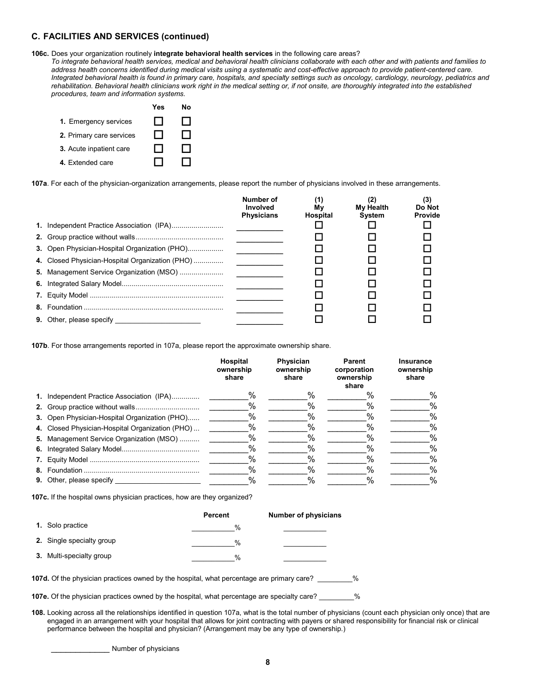**106c.** Does your organization routinely **integrate behavioral health services** in the following care areas?

*To integrate behavioral health services, medical and behavioral health clinicians collaborate with each other and with patients and families to address health concerns identified during medical visits using a systematic and cost-effective approach to provide patient-centered care. Integrated behavioral health is found in primary care, hospitals, and specialty settings such as oncology, cardiology, neurology, pediatrics and rehabilitation. Behavioral health clinicians work right in the medical setting or, if not onsite, are thoroughly integrated into the established procedures, team and information systems.*

|                          | Yes | N۵  |
|--------------------------|-----|-----|
| 1. Emergency services    | Ш   | l 1 |
| 2. Primary care services |     | - 1 |
| 3. Acute inpatient care  | H   |     |
| 4. Extended care         |     |     |

**107a**. For each of the physician-organization arrangements, please report the number of physicians involved in these arrangements.

|                                                 | Number of<br><b>Involved</b><br><b>Physicians</b> | (1)<br>Mγ<br>Hospital | (2)<br><b>My Health</b><br>System | (3)<br>Do Not<br>Provide |
|-------------------------------------------------|---------------------------------------------------|-----------------------|-----------------------------------|--------------------------|
| 1. Independent Practice Association (IPA)       |                                                   |                       |                                   |                          |
|                                                 |                                                   |                       |                                   |                          |
| 3. Open Physician-Hospital Organization (PHO)   |                                                   |                       |                                   |                          |
| 4. Closed Physician-Hospital Organization (PHO) |                                                   |                       |                                   |                          |
| 5. Management Service Organization (MSO)        |                                                   |                       |                                   |                          |
|                                                 |                                                   |                       |                                   |                          |
|                                                 |                                                   |                       |                                   |                          |
|                                                 |                                                   |                       |                                   |                          |
| <b>9.</b> Other, please specify                 |                                                   |                       |                                   |                          |

**107b**. For those arrangements reported in 107a, please report the approximate ownership share.

|                                                 | Hospital<br>ownership<br>share | Physician<br>ownership<br>share | <b>Parent</b><br>corporation<br>ownership<br>share | <b>Insurance</b><br>ownership<br>share |
|-------------------------------------------------|--------------------------------|---------------------------------|----------------------------------------------------|----------------------------------------|
| 1. Independent Practice Association (IPA)       | %                              | %                               | $\%$                                               | $\%$                                   |
|                                                 | $\%$                           | %                               | %                                                  | %                                      |
| 3. Open Physician-Hospital Organization (PHO)   | $\%$                           | %                               | $\%$                                               | %                                      |
| 4. Closed Physician-Hospital Organization (PHO) | $\%$                           | %                               | %                                                  | $\%$                                   |
| 5. Management Service Organization (MSO)        | $\%$                           | $\%$                            | %                                                  | $\%$                                   |
|                                                 | $\%$                           | $\%$                            | %                                                  | $\%$                                   |
|                                                 | $\%$                           | %                               | $\%$                                               | %                                      |
|                                                 | $\%$                           | $\%$                            | $\%$                                               | %                                      |
| <b>9.</b> Other, please specify                 | $\%$                           | %                               | $\%$                                               | $\%$                                   |

**107c.** If the hospital owns physician practices, how are they organized?

|                                  | Percent | <b>Number of physicians</b> |
|----------------------------------|---------|-----------------------------|
| <b>1.</b> Solo practice          | %       |                             |
| <b>2.</b> Single specialty group | %       |                             |
| 3. Multi-specialty group         | %       |                             |

**107d.** Of the physician practices owned by the hospital, what percentage are primary care?  $\%$ 

**107e.** Of the physician practices owned by the hospital, what percentage are specialty care? \_\_\_\_\_\_\_\_\_%

**108.** Looking across all the relationships identified in question 107a, what is the total number of physicians (count each physician only once) that are engaged in an arrangement with your hospital that allows for joint contracting with payers or shared responsibility for financial risk or clinical performance between the hospital and physician? (Arrangement may be any type of ownership.)

Number of physicians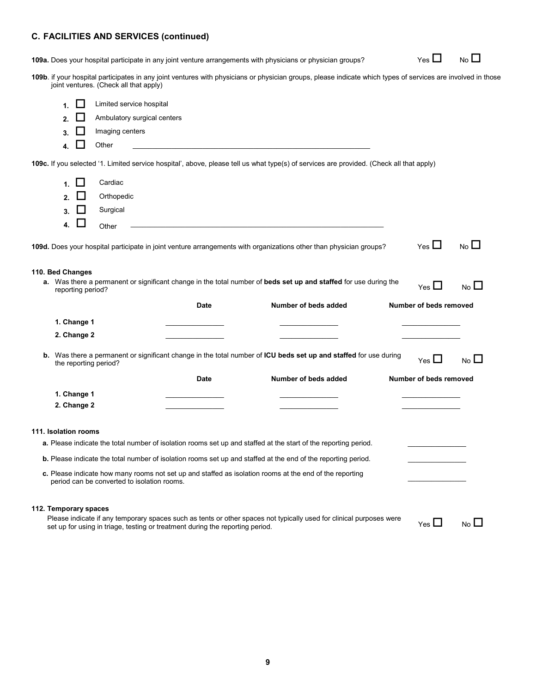|                       |                          |                                             |             | 109b. If your hospital participates in any joint ventures with physicians or physician groups, please indicate which types of services are involved in those |  |                        |             |
|-----------------------|--------------------------|---------------------------------------------|-------------|--------------------------------------------------------------------------------------------------------------------------------------------------------------|--|------------------------|-------------|
|                       |                          | joint ventures. (Check all that apply)      |             |                                                                                                                                                              |  |                        |             |
| $\mathbf{1}$ .        | $\mathsf{L}$             | Limited service hospital                    |             |                                                                                                                                                              |  |                        |             |
| 2.                    | $\overline{\phantom{a}}$ | Ambulatory surgical centers                 |             |                                                                                                                                                              |  |                        |             |
| 3                     |                          | Imaging centers                             |             |                                                                                                                                                              |  |                        |             |
| 4                     |                          | Other                                       |             |                                                                                                                                                              |  |                        |             |
|                       |                          |                                             |             | <b>109c.</b> If you selected '1. Limited service hospital', above, please tell us what type(s) of services are provided. (Check all that apply)              |  |                        |             |
| 1 <sup>1</sup>        | $\mathbf{L}$             | Cardiac                                     |             |                                                                                                                                                              |  |                        |             |
| 2.                    | $\mathsf{L}$             | Orthopedic                                  |             |                                                                                                                                                              |  |                        |             |
| 3 <sub>1</sub>        | H                        | Surgical                                    |             |                                                                                                                                                              |  |                        |             |
| 4                     | H                        | Other                                       |             |                                                                                                                                                              |  |                        |             |
|                       |                          |                                             |             | 109d. Does your hospital participate in joint venture arrangements with organizations other than physician groups?                                           |  | Yes $\Box$             | $No$ $\Box$ |
| 110. Bed Changes      | reporting period?        |                                             |             | a. Was there a permanent or significant change in the total number of beds set up and staffed for use during the                                             |  | Yes $\Box$             | $No$ $\Box$ |
|                       |                          |                                             | <b>Date</b> | Number of beds added                                                                                                                                         |  | Number of beds removed |             |
|                       | 1. Change 1              |                                             |             |                                                                                                                                                              |  |                        |             |
|                       | 2. Change 2              |                                             |             |                                                                                                                                                              |  |                        |             |
|                       |                          | the reporting period?                       |             | b. Was there a permanent or significant change in the total number of ICU beds set up and staffed for use during                                             |  | Yes $\Box$             | No L        |
|                       |                          |                                             | <b>Date</b> | Number of beds added                                                                                                                                         |  | Number of beds removed |             |
|                       | 1. Change 1              |                                             |             |                                                                                                                                                              |  |                        |             |
|                       | 2. Change 2              |                                             |             |                                                                                                                                                              |  |                        |             |
| 111. Isolation rooms  |                          |                                             |             |                                                                                                                                                              |  |                        |             |
|                       |                          |                                             |             | a. Please indicate the total number of isolation rooms set up and staffed at the start of the reporting period.                                              |  |                        |             |
|                       |                          |                                             |             | b. Please indicate the total number of isolation rooms set up and staffed at the end of the reporting period.                                                |  |                        |             |
|                       |                          | period can be converted to isolation rooms. |             | c. Please indicate how many rooms not set up and staffed as isolation rooms at the end of the reporting                                                      |  |                        |             |
| 112. Temporary spaces |                          |                                             |             |                                                                                                                                                              |  |                        |             |

**109a.** Does your hospital participate in any joint venture arrangements with physicians or physician groups? Yes  $\Box$  No  $\Box$ 

Please indicate if any temporary spaces such as tents or other spaces not typically used for clinical purposes were  $\gamma_{\rm es} \Box$  No  $\Box$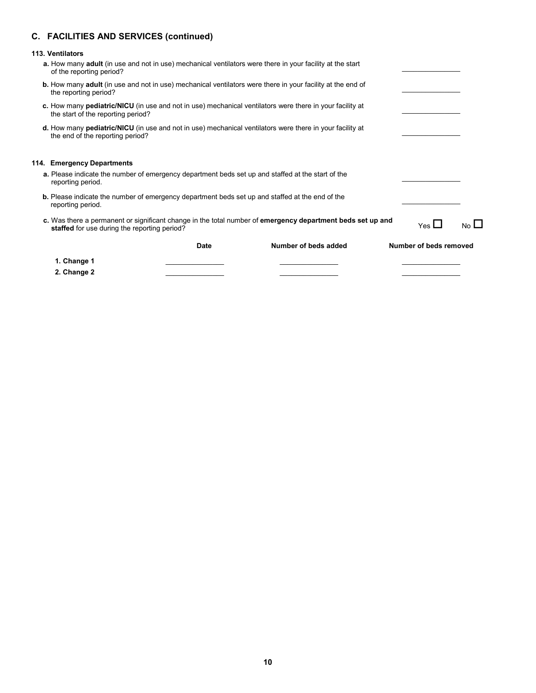| 113. Ventilators                                                                                                                                           |                        |             |
|------------------------------------------------------------------------------------------------------------------------------------------------------------|------------------------|-------------|
| a. How many adult (in use and not in use) mechanical ventilators were there in your facility at the start<br>of the reporting period?                      |                        |             |
| <b>b.</b> How many <b>adult</b> (in use and not in use) mechanical ventilators were there in your facility at the end of<br>the reporting period?          |                        |             |
| c. How many pediatric/NICU (in use and not in use) mechanical ventilators were there in your facility at<br>the start of the reporting period?             |                        |             |
| d. How many <b>pediatric/NICU</b> (in use and not in use) mechanical ventilators were there in your facility at<br>the end of the reporting period?        |                        |             |
| 114. Emergency Departments                                                                                                                                 |                        |             |
| a. Please indicate the number of emergency department beds set up and staffed at the start of the<br>reporting period.                                     |                        |             |
| b. Please indicate the number of emergency department beds set up and staffed at the end of the<br>reporting period.                                       |                        |             |
| c. Was there a permanent or significant change in the total number of emergency department beds set up and<br>staffed for use during the reporting period? | Yes $\Box$             | $No$ $\Box$ |
| Number of beds added<br><b>Date</b>                                                                                                                        | Number of beds removed |             |
| 1. Change 1                                                                                                                                                |                        |             |
| 2. Change 2                                                                                                                                                |                        |             |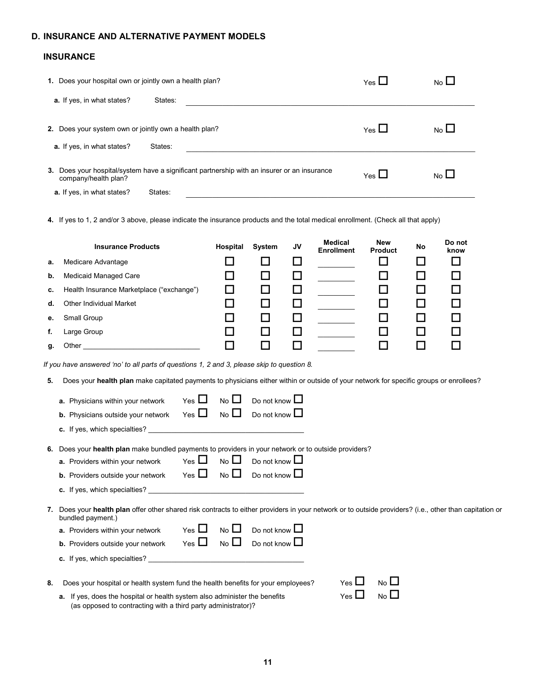# **D. INSURANCE AND ALTERNATIVE PAYMENT MODELS**

| <b>INSURANCE</b> |  |  |
|------------------|--|--|
|------------------|--|--|

| 1. Does your hospital own or jointly own a health plan?                                |                                                                                                                                   | Yes $\Box$   | No <sub>l</sub> |
|----------------------------------------------------------------------------------------|-----------------------------------------------------------------------------------------------------------------------------------|--------------|-----------------|
| a. If yes, in what states?                                                             | States:                                                                                                                           |              |                 |
| Does your system own or jointly own a health plan?<br>2.<br>a. If yes, in what states? | States:                                                                                                                           | Yes $\Box$   | No <sub>L</sub> |
| 3.<br>company/health plan?<br>a. If yes, in what states?                               | Does your hospital/system have a significant partnership with an insurer or an insurance<br>States:                               | $Yes$ $\Box$ | $No$ $\Box$     |
|                                                                                        | 4. If yes to 1, 2 and/or 3 above, please indicate the insurance products and the total medical enrollment. (Check all that apply) |              |                 |

|    | <b>Insurance Products</b>                                                                                                                                                                                                      | Hospital                    | <b>System</b>                               | <b>JV</b> | Medical<br><b>Enrollment</b> | New<br><b>Product</b>         | No     | Do not<br>know |  |
|----|--------------------------------------------------------------------------------------------------------------------------------------------------------------------------------------------------------------------------------|-----------------------------|---------------------------------------------|-----------|------------------------------|-------------------------------|--------|----------------|--|
| а. | Medicare Advantage                                                                                                                                                                                                             |                             | П                                           | □         |                              | $\Box$                        | ΙI     | ΙI             |  |
| b. | <b>Medicaid Managed Care</b>                                                                                                                                                                                                   |                             | П                                           | □         |                              | □                             | П      | П              |  |
| c. | Health Insurance Marketplace ("exchange")                                                                                                                                                                                      |                             | H                                           | □         |                              | □                             | П      | ΙI             |  |
| d. | <b>Other Individual Market</b>                                                                                                                                                                                                 |                             | П                                           | □         |                              | □                             | $\Box$ | □              |  |
| е. | Small Group                                                                                                                                                                                                                    |                             | П                                           | □         |                              | □                             | □      | □              |  |
| f. | Large Group                                                                                                                                                                                                                    |                             | П                                           | □         |                              | □                             | $\Box$ | ப              |  |
| g. | Other example and the state of the state of the state of the state of the state of the state of the state of the state of the state of the state of the state of the state of the state of the state of the state of the state | П                           | П                                           | П         |                              | $\Box$                        | П      | П              |  |
|    | If you have answered 'no' to all parts of questions 1, 2 and 3, please skip to question 8.                                                                                                                                     |                             |                                             |           |                              |                               |        |                |  |
| 5. | Does your health plan make capitated payments to physicians either within or outside of your network for specific groups or enrollees?                                                                                         |                             |                                             |           |                              |                               |        |                |  |
|    | Yes $\Box$<br>a. Physicians within your network<br>Yes $\Box$<br><b>b.</b> Physicians outside your network<br>6. Does your health plan make bundled payments to providers in your network or to outside providers?             | $No$ $\Box$<br>No $\square$ | Do not know $\square$<br>Do not know $\Box$ |           |                              |                               |        |                |  |
|    | Yes $\Box$<br>a. Providers within your network                                                                                                                                                                                 | $No$ $\Box$                 | Do not know $\square$                       |           |                              |                               |        |                |  |
|    | <b>b.</b> Providers outside your network Yes $\Box$ No $\Box$                                                                                                                                                                  |                             | Do not know $\square$                       |           |                              |                               |        |                |  |
|    |                                                                                                                                                                                                                                |                             |                                             |           |                              |                               |        |                |  |
| 7. | Does your health plan offer other shared risk contracts to either providers in your network or to outside providers? (i.e., other than capitation or<br>bundled payment.)<br>Yes $\Box$                                        | $No$ $\Box$                 |                                             |           |                              |                               |        |                |  |
|    | a. Providers within your network                                                                                                                                                                                               | No $\square$                | Do not know $\Box$                          |           |                              |                               |        |                |  |
|    | <b>b.</b> Providers outside your network Yes $\Box$                                                                                                                                                                            |                             | Do not know $\Box$                          |           |                              |                               |        |                |  |
|    |                                                                                                                                                                                                                                |                             |                                             |           |                              |                               |        |                |  |
| 8. | Does your hospital or health system fund the health benefits for your employees?<br><b>a.</b> If yes, does the hospital or health system also administer the benefits                                                          |                             |                                             |           | Yes $\Box$<br>Yes $\Box$     | $No$ $\Box$<br>N <sub>o</sub> |        |                |  |
|    | (as opposed to contracting with a third party administrator)?                                                                                                                                                                  |                             |                                             |           |                              |                               |        |                |  |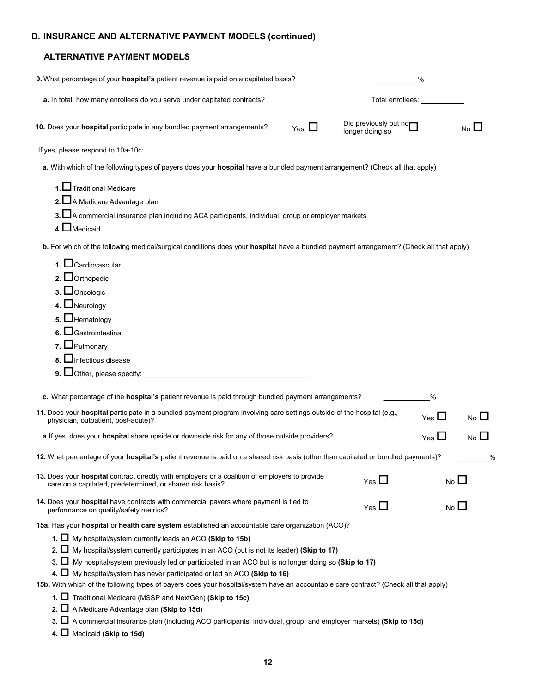# **D. INSURANCE AND ALTERNATIVE PAYMENT MODELS (continued)**

# **ALTERNATIVE PAYMENT MODELS**

| 9. What percentage of your hospital's patient revenue is paid on a capitated basis?                                                                                                                                                                                                                                                                  |            |                                          | $\frac{0}{0}$             |
|------------------------------------------------------------------------------------------------------------------------------------------------------------------------------------------------------------------------------------------------------------------------------------------------------------------------------------------------------|------------|------------------------------------------|---------------------------|
| a. In total, how many enrollees do you serve under capitated contracts?                                                                                                                                                                                                                                                                              |            | Total enrollees: _                       |                           |
|                                                                                                                                                                                                                                                                                                                                                      |            |                                          |                           |
| 10. Does your hospital participate in any bundled payment arrangements?                                                                                                                                                                                                                                                                              | Yes $\Box$ | Did previously but no<br>longer doing so | No $\square$              |
| If yes, please respond to 10a-10c:                                                                                                                                                                                                                                                                                                                   |            |                                          |                           |
| a. With which of the following types of payers does your hospital have a bundled payment arrangement? (Check all that apply)                                                                                                                                                                                                                         |            |                                          |                           |
| 1. $\Box$ Traditional Medicare<br>2. LA Medicare Advantage plan<br>3. LA commercial insurance plan including ACA participants, individual, group or employer markets<br>$4.$ $\Box$ Medicaid                                                                                                                                                         |            |                                          |                           |
| b. For which of the following medical/surgical conditions does your hospital have a bundled payment arrangement? (Check all that apply)                                                                                                                                                                                                              |            |                                          |                           |
| $\Box$ Cardiovascular<br>2. $\Box$ Orthopedic<br>$3.$ Oncologic<br>4. $\Box$ Neurology<br>$\Box$ Hematology<br>$\sf J$ Gastrointestinal<br>7. Pulmonary<br>$\blacksquare$ Infectious disease<br><b>9.</b> $\Box$ Other, please specify: $\Box$<br>c. What percentage of the hospital's patient revenue is paid through bundled payment arrangements? |            |                                          |                           |
| 11. Does your hospital participate in a bundled payment program involving care settings outside of the hospital (e.g.,<br>physician, outpatient, post-acute)?                                                                                                                                                                                        |            |                                          | $No$ $\Box$<br>Yes $\Box$ |
| a. If yes, does your hospital share upside or downside risk for any of those outside providers?                                                                                                                                                                                                                                                      |            |                                          | Yes $\Box$<br>No.         |
| 12. What percentage of your hospital's patient revenue is paid on a shared risk basis (other than capitated or bundled payments)?                                                                                                                                                                                                                    |            |                                          | 0/                        |
| 13. Does your hospital contract directly with employers or a coalition of employers to provide<br>care on a capitated, predetermined, or shared risk basis?                                                                                                                                                                                          |            | Yes $\Box$                               | N <sub>o</sub>            |
| 14. Does your hospital have contracts with commercial payers where payment is tied to<br>performance on quality/safety metrics?                                                                                                                                                                                                                      |            | Yes $\Box$                               | No <sub>L</sub>           |
| 15a. Has your hospital or health care system established an accountable care organization (ACO)?                                                                                                                                                                                                                                                     |            |                                          |                           |
| 1. $\Box$ My hospital/system currently leads an ACO (Skip to 15b)                                                                                                                                                                                                                                                                                    |            |                                          |                           |
| 2. $\Box$ My hospital/system currently participates in an ACO (but is not its leader) (Skip to 17)                                                                                                                                                                                                                                                   |            |                                          |                           |
| 3. $\Box$ My hospital/system previously led or participated in an ACO but is no longer doing so (Skip to 17)                                                                                                                                                                                                                                         |            |                                          |                           |
| 4. $\Box$ My hospital/system has never participated or led an ACO (Skip to 16)                                                                                                                                                                                                                                                                       |            |                                          |                           |
| 15b. With which of the following types of payers does your hospital/system have an accountable care contract? (Check all that apply)                                                                                                                                                                                                                 |            |                                          |                           |
| 1. Traditional Medicare (MSSP and NextGen) (Skip to 15c)                                                                                                                                                                                                                                                                                             |            |                                          |                           |
| 2. $\Box$ A Medicare Advantage plan (Skip to 15d)                                                                                                                                                                                                                                                                                                    |            |                                          |                           |
| 3. $\Box$ A commercial insurance plan (including ACO participants, individual, group, and employer markets) (Skip to 15d)                                                                                                                                                                                                                            |            |                                          |                           |

**4.** Medicaid **(Skip to 15d)**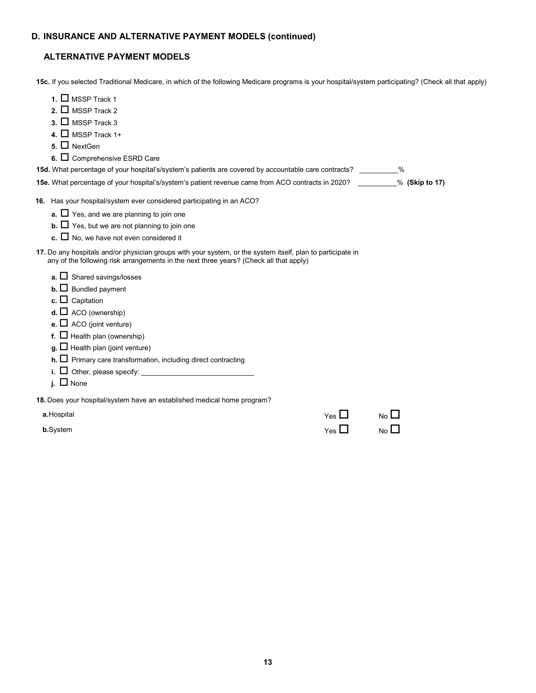### **D. INSURANCE AND ALTERNATIVE PAYMENT MODELS (continued)**

# **ALTERNATIVE PAYMENT MODELS**

**15c.** If you selected Traditional Medicare, in which of the following Medicare programs is your hospital/system participating? (Check all that apply)

- **1.**  $\Box$  MSSP Track 1
- **2.** □ MSSP Track 2
- **3.**  $\Box$  MSSP Track 3
- **4.** □ MSSP Track 1+
- **5.** □ NextGen
- **6.** □ Comprehensive ESRD Care

| 15d. What percentage of your hospital's/system's patients are covered by accountable care contracts? | $\%$             |
|------------------------------------------------------------------------------------------------------|------------------|
| 15e. What percentage of your hospital's/system's patient revenue came from ACO contracts in 2020?    | $%$ (Skip to 17) |
| <b>16.</b> Has your hospital/system ever considered participating in an ACO?                         |                  |

- **a.**  $\Box$  Yes, and we are planning to join one
- **b.**  $\Box$  Yes, but we are not planning to join one
- **c.** □ No, we have not even considered it

### **17.** Do any hospitals and/or physician groups with your system, or the system itself, plan to participate in any of the following risk arrangements in the next three years? (Check all that apply)

- **a.** □ Shared savings/losses
- **b.**  $\square$  Bundled payment
- **c.** Capitation
- **d.** □ ACO (ownership)
- **e.** □ ACO (joint venture)
- **f.**  $\Box$  Health plan (ownership)
- $\mathbf{g}$ .  $\Box$  Health plan (joint venture)
- **h.**  $\Box$  Primary care transformation, including direct contracting
- **i.**  $\Box$  Other, please specify:
- **j.** None

**18.** Does your hospital/system have an established medical home program?

- 
- 

| <b>a.</b> Hospital |                      |  |
|--------------------|----------------------|--|
| <b>b.</b> System   | $Yes \Box$ No $\Box$ |  |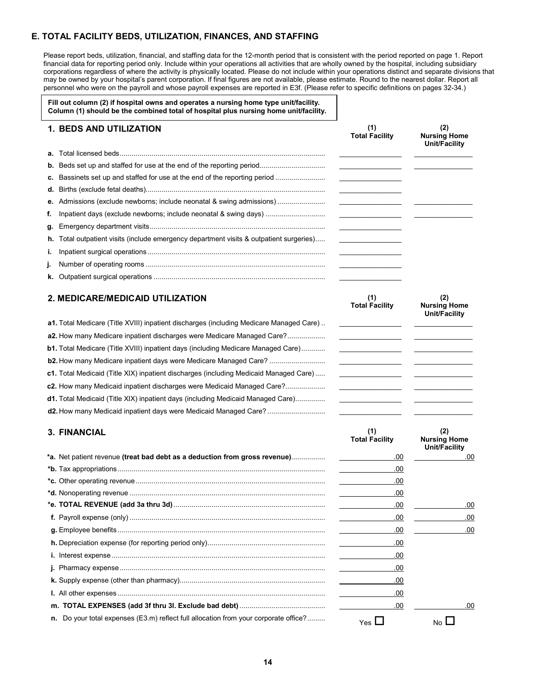Please report beds, utilization, financial, and staffing data for the 12-month period that is consistent with the period reported on page 1. Report financial data for reporting period only. Include within your operations all activities that are wholly owned by the hospital, including subsidiary corporations regardless of where the activity is physically located. Please do not include within your operations distinct and separate divisions that may be owned by your hospital's parent corporation. If final figures are not available, please estimate. Round to the nearest dollar. Report all personnel who were on the payroll and whose payroll expenses are reported in E3f. (Please refer to specific definitions on pages 32-34.)

**Fill out column (2) if hospital owns and operates a nursing home type unit/facility. Column (1) should be the combined total of hospital plus nursing home unit/facility.**

| <b>1. BEDS AND UTILIZATION</b>                                                             | (1)<br><b>Total Facility</b>                 | (2)<br><b>Nursing Home</b><br>Unit/Facility |
|--------------------------------------------------------------------------------------------|----------------------------------------------|---------------------------------------------|
| а.                                                                                         |                                              |                                             |
|                                                                                            |                                              |                                             |
| Bassinets set up and staffed for use at the end of the reporting period<br>c.              |                                              |                                             |
| d.                                                                                         | the company of the company of the company of |                                             |
| Admissions (exclude newborns; include neonatal & swing admissions)<br>е.                   | the company of the company of the company    |                                             |
| Inpatient days (exclude newborns; include neonatal & swing days)<br>f.                     | the control of the control of the            |                                             |
| g.                                                                                         | the company of the company of the            |                                             |
| Total outpatient visits (include emergency department visits & outpatient surgeries)<br>h. |                                              |                                             |
| ı.                                                                                         |                                              |                                             |
|                                                                                            | the company of the company of the            |                                             |
| k.                                                                                         |                                              |                                             |
| 2. MEDICARE/MEDICAID UTILIZATION                                                           | (1)<br><b>Total Facility</b>                 | (2)<br><b>Nursing Home</b><br>Unit/Facility |
| a1. Total Medicare (Title XVIII) inpatient discharges (including Medicare Managed Care)    | the control of the control of the control of |                                             |
| a2. How many Medicare inpatient discharges were Medicare Managed Care?                     | the control of the control of the control of |                                             |
| <b>b1.</b> Total Medicare (Title XVIII) inpatient days (including Medicare Managed Care)   | the control of the control of the control of |                                             |
| <b>b2.</b> How many Medicare inpatient days were Medicare Managed Care?                    | the control of the control of the            |                                             |
| c1. Total Medicaid (Title XIX) inpatient discharges (including Medicaid Managed Care)      |                                              |                                             |

c2. How many Medicaid inpatient discharges were Medicaid Managed Care?................... **d1.** Total Medicaid (Title XIX) inpatient days (including Medicaid Managed Care)............... **d2.** How many Medicaid inpatient days were Medicaid Managed Care? ................................

### **3. FINANCIAL (1)**

|                                                                                         | <b>Total Facility</b>           | <b>Nursing Home</b><br>Unit/Facility |
|-----------------------------------------------------------------------------------------|---------------------------------|--------------------------------------|
| *a. Net patient revenue (treat bad debt as a deduction from gross revenue)              | .00                             | .00                                  |
|                                                                                         | .00<br><b>Contract Contract</b> |                                      |
|                                                                                         | .00                             |                                      |
|                                                                                         | .00                             |                                      |
|                                                                                         | .00.                            | .00                                  |
|                                                                                         | .00                             | .00                                  |
|                                                                                         | .00                             | .00                                  |
|                                                                                         | .00                             |                                      |
|                                                                                         | .00                             |                                      |
|                                                                                         | .00                             |                                      |
|                                                                                         | .00                             |                                      |
|                                                                                         | .00                             |                                      |
|                                                                                         | .00                             | .00                                  |
| Do your total expenses (E3.m) reflect full allocation from your corporate office?<br>n. | Yes I                           | No.                                  |

**(2)**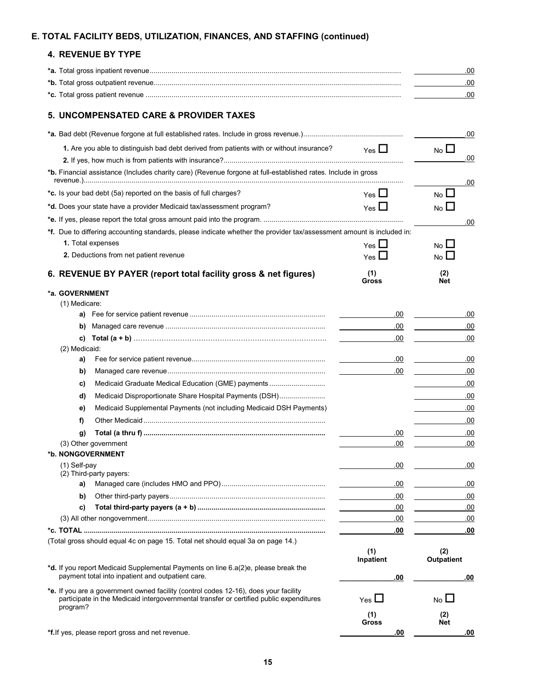# **4. REVENUE BY TYPE \*a.** Total gross inpatient revenue.............................................................................................................................. \_\_\_\_\_\_\_\_\_\_\_\_\_.00 **\*b.** Total gross outpatient revenue............................................................................................................................ \_\_\_\_\_\_\_\_\_\_\_\_\_.00 **\*c.** Total gross patient revenue ................................................................................................................................ \_\_\_\_\_\_\_\_\_\_\_\_\_.00 **5. UNCOMPENSATED CARE & PROVIDER TAXES \*a.** Bad debt (Revenue forgone at full established rates. Include in gross revenue.).................................................. \_\_\_\_\_\_\_\_\_\_\_\_\_.00 **1.** Are you able to distinguish bad debt derived from patients with or without insurance?  $Y_{\text{ES}}$   $\Box$  No  $\Box$ **2.** If yes, how much is from patients with insurance?.......................................................................................... \_\_\_\_\_\_\_\_\_\_\_\_\_.00 **\*b.** Financial assistance (Includes charity care) (Revenue forgone at full-established rates. Include in gross revenue.)................................................................................................................................................................ \_\_\_\_\_\_\_\_\_\_\_\_\_.00 **\*c.** Is your bad debt (5a) reported on the basis of full charges?  $Y_{ES}$  Yes  $\Box$  No  $\Box$ **\*d.** Does your state have a provider Medicaid tax/assessment program? Yes No **\*e.** If yes, please report the total gross amount paid into the program. ...................................................................... \_\_\_\_\_\_\_\_\_\_\_\_\_.00 **\*f.** Due to differing accounting standards, please indicate whether the provider tax/assessment amount is included in: **1.** Total expenses  $\begin{matrix} N_{\text{A}} & N_{\text{B}} \end{matrix}$   $\begin{matrix} N_{\text{B}} & N_{\text{C}} \end{matrix}$ **2.** Deductions from net patient revenue  $\overline{N}$   $\overline{N}$   $\overline{N}$   $\overline{N}$   $\overline{N}$   $\overline{N}$   $\overline{N}$   $\overline{N}$   $\overline{N}$ **6. REVENUE BY PAYER (report total facility gross & net figures) (1) Gross (2) Net \*a. GOVERNMENT** (1) Medicare:

|                   |                                                                                 | (1)<br>Inpatient | (2)<br><b>Outpatient</b> |
|-------------------|---------------------------------------------------------------------------------|------------------|--------------------------|
|                   | (Total gross should equal 4c on page 15. Total net should equal 3a on page 14.) |                  |                          |
|                   |                                                                                 | .00              | .00                      |
|                   |                                                                                 | .00              | .00                      |
| C)                |                                                                                 | .00              | .00                      |
| b)                |                                                                                 | .00              | .00                      |
| a)                | (2) Third-party payers:                                                         | .00              | .00                      |
| $(1)$ Self-pay    |                                                                                 | .00              | .00                      |
| *b. NONGOVERNMENT |                                                                                 |                  |                          |
|                   | (3) Other government                                                            | .00              | .00                      |
| g)                |                                                                                 | .00              | .00                      |
| f)                |                                                                                 |                  | .00                      |
| e)                | Medicaid Supplemental Payments (not including Medicaid DSH Payments)            |                  | .00                      |
| d)                | Medicaid Disproportionate Share Hospital Payments (DSH)                         |                  | .00                      |
| C)                | Medicaid Graduate Medical Education (GME) payments                              |                  | .00                      |
| b)                |                                                                                 | .00              | .00                      |
| a)                |                                                                                 | .00              | .00                      |
| (2) Medicaid:     |                                                                                 |                  |                          |
| C)                |                                                                                 | .00              | .00                      |
| b)                |                                                                                 | .00              | .00                      |
| a)                |                                                                                 | .00              | .00                      |

**\*d.** If you report Medicaid Supplemental Payments on line 6.a(2)e, please break the payment total into inpatient and outpatient care. **\_\_\_\_\_\_\_\_\_\_\_\_\_\_.00 \_\_\_\_\_\_\_\_\_\_\_\_\_.00**

**\*e.** If you are a government owned facility (control codes 12-16), does your facility participate in the Medicaid intergovernmental transfer or certified public expenditures program?

**\*f.**If yes, please report gross and net revenue. **\_\_\_\_\_\_\_\_\_\_\_\_\_\_.00 \_\_\_\_\_\_\_\_\_\_\_\_\_.00**

 $Yes \Box$   $No \Box$ 

**(2) Net**

**(1) Gross**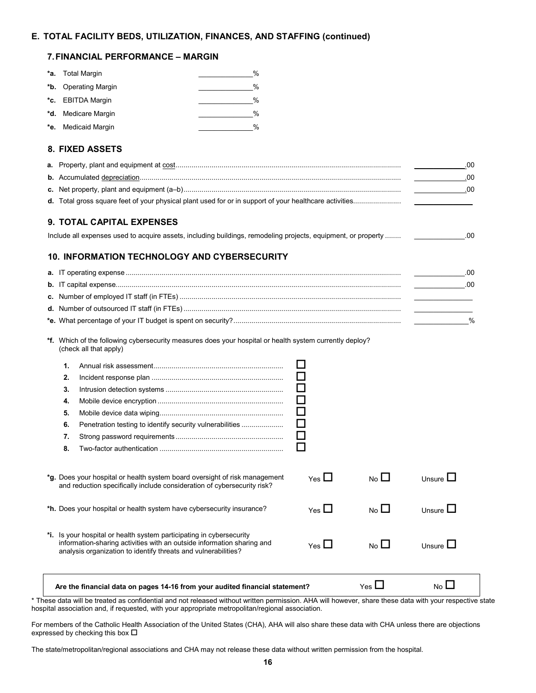### **7.FINANCIAL PERFORMANCE – MARGIN**

|     | *a. Total Margin       | $\%$ |
|-----|------------------------|------|
|     | *b. Operating Margin   | %    |
|     | *c. EBITDA Margin      | %    |
| *d. | Medicare Margin        | %    |
| *e. | <b>Medicaid Margin</b> | %    |

# **8. FIXED ASSETS**

| а. |    |                                                                                                                                                                                                                  |            |             |                  | .00  |
|----|----|------------------------------------------------------------------------------------------------------------------------------------------------------------------------------------------------------------------|------------|-------------|------------------|------|
|    |    |                                                                                                                                                                                                                  |            |             |                  | .00  |
|    |    |                                                                                                                                                                                                                  |            |             |                  | .00  |
|    |    | d. Total gross square feet of your physical plant used for or in support of your healthcare activities                                                                                                           |            |             |                  |      |
|    |    | 9. TOTAL CAPITAL EXPENSES                                                                                                                                                                                        |            |             |                  |      |
|    |    | Include all expenses used to acquire assets, including buildings, remodeling projects, equipment, or property                                                                                                    |            |             |                  | .00  |
|    |    |                                                                                                                                                                                                                  |            |             |                  |      |
|    |    | 10. INFORMATION TECHNOLOGY AND CYBERSECURITY                                                                                                                                                                     |            |             |                  |      |
|    |    |                                                                                                                                                                                                                  |            |             |                  | .00  |
|    |    |                                                                                                                                                                                                                  |            |             |                  | .00  |
|    |    |                                                                                                                                                                                                                  |            |             |                  |      |
|    |    |                                                                                                                                                                                                                  |            |             |                  |      |
|    |    |                                                                                                                                                                                                                  |            |             |                  | $\%$ |
|    |    | *f. Which of the following cybersecurity measures does your hospital or health system currently deploy?<br>(check all that apply)                                                                                |            |             |                  |      |
|    | 1. |                                                                                                                                                                                                                  |            |             |                  |      |
|    | 2. |                                                                                                                                                                                                                  |            |             |                  |      |
|    | 3. |                                                                                                                                                                                                                  |            |             |                  |      |
|    | 4. |                                                                                                                                                                                                                  |            |             |                  |      |
|    | 5. |                                                                                                                                                                                                                  |            |             |                  |      |
|    | 6. | Penetration testing to identify security vulnerabilities                                                                                                                                                         |            |             |                  |      |
|    | 7. |                                                                                                                                                                                                                  | $\Box$     |             |                  |      |
|    | 8. |                                                                                                                                                                                                                  |            |             |                  |      |
|    |    | *g. Does your hospital or health system board oversight of risk management<br>and reduction specifically include consideration of cybersecurity risk?                                                            | Yes $\Box$ | No L        | Unsure $\Box$    |      |
|    |    | *h. Does your hospital or health system have cybersecurity insurance?                                                                                                                                            | Yes $\Box$ | $No$ $\Box$ | Unsure $\square$ |      |
|    |    | *i. Is your hospital or health system participating in cybersecurity<br>information-sharing activities with an outside information sharing and<br>analysis organization to identify threats and vulnerabilities? | Yes $\Box$ | $No$ $\Box$ | Unsure $\Box$    |      |
|    |    | Are the financial data on pages 14-16 from your audited financial statement?                                                                                                                                     |            | Yes $\Box$  | N <sub>o</sub>   |      |

\* These data will be treated as confidential and not released without written permission. AHA will however, share these data with your respective state hospital association and, if requested, with your appropriate metropolitan/regional association.

For members of the Catholic Health Association of the United States (CHA), AHA will also share these data with CHA unless there are objections expressed by checking this box  $\Box$ 

The state/metropolitan/regional associations and CHA may not release these data without written permission from the hospital.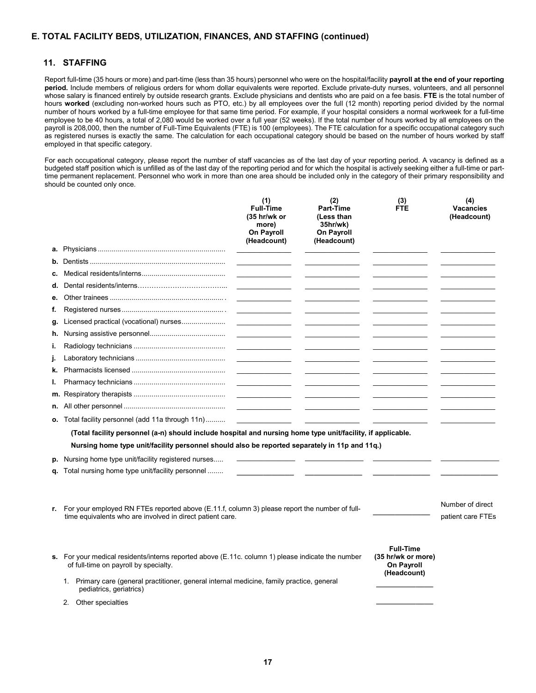### **11. STAFFING**

Report full-time (35 hours or more) and part-time (less than 35 hours) personnel who were on the hospital/facility **payroll at the end of your reporting period.** Include members of religious orders for whom dollar equivalents were reported. Exclude private-duty nurses, volunteers, and all personnel whose salary is financed entirely by outside research grants. Exclude physicians and dentists who are paid on a fee basis. **FTE** is the total number of hours **worked** (excluding non-worked hours such as PTO, etc.) by all employees over the full (12 month) reporting period divided by the normal number of hours worked by a full-time employee for that same time period. For example, if your hospital considers a normal workweek for a full-time employee to be 40 hours, a total of 2,080 would be worked over a full year (52 weeks). If the total number of hours worked by all employees on the payroll is 208,000, then the number of Full-Time Equivalents (FTE) is 100 (employees). The FTE calculation for a specific occupational category such as registered nurses is exactly the same. The calculation for each occupational category should be based on the number of hours worked by staff employed in that specific category.

For each occupational category, please report the number of staff vacancies as of the last day of your reporting period. A vacancy is defined as a budgeted staff position which is unfilled as of the last day of the reporting period and for which the hospital is actively seeking either a full-time or parttime permanent replacement. Personnel who work in more than one area should be included only in the category of their primary responsibility and should be counted only once.

|    |    |                                                                                                                                                                                                              | (1)<br><b>Full-Time</b><br>(35 hr/wk or<br>more)<br><b>On Payroll</b><br>(Headcount)                                     | (2)<br><b>Part-Time</b><br>(Less than<br>35hr/wk)<br><b>On Payroll</b><br>(Headcount) | (3)<br>FTE                                                          | (4)<br><b>Vacancies</b><br>(Headcount) |
|----|----|--------------------------------------------------------------------------------------------------------------------------------------------------------------------------------------------------------------|--------------------------------------------------------------------------------------------------------------------------|---------------------------------------------------------------------------------------|---------------------------------------------------------------------|----------------------------------------|
|    |    |                                                                                                                                                                                                              |                                                                                                                          |                                                                                       |                                                                     |                                        |
| b. |    |                                                                                                                                                                                                              |                                                                                                                          |                                                                                       |                                                                     |                                        |
| c. |    |                                                                                                                                                                                                              | <u> De Carlos de Carlos de Carlos de Ca</u>                                                                              |                                                                                       |                                                                     |                                        |
| d. |    |                                                                                                                                                                                                              |                                                                                                                          |                                                                                       |                                                                     |                                        |
| е. |    |                                                                                                                                                                                                              |                                                                                                                          |                                                                                       |                                                                     |                                        |
| f. |    |                                                                                                                                                                                                              |                                                                                                                          |                                                                                       |                                                                     |                                        |
| g. |    | Licensed practical (vocational) nurses                                                                                                                                                                       |                                                                                                                          |                                                                                       |                                                                     |                                        |
| h. |    |                                                                                                                                                                                                              |                                                                                                                          |                                                                                       |                                                                     |                                        |
| i. |    |                                                                                                                                                                                                              |                                                                                                                          |                                                                                       |                                                                     |                                        |
| j. |    |                                                                                                                                                                                                              |                                                                                                                          |                                                                                       |                                                                     |                                        |
| k. |    |                                                                                                                                                                                                              | <u> 1989 - Andrea Station Barbara, amerikan per</u>                                                                      |                                                                                       |                                                                     |                                        |
| ı. |    |                                                                                                                                                                                                              |                                                                                                                          |                                                                                       |                                                                     |                                        |
|    |    |                                                                                                                                                                                                              |                                                                                                                          |                                                                                       |                                                                     |                                        |
| n. |    |                                                                                                                                                                                                              |                                                                                                                          |                                                                                       |                                                                     |                                        |
| ο. |    | Total facility personnel (add 11a through 11n)                                                                                                                                                               |                                                                                                                          |                                                                                       |                                                                     |                                        |
|    |    | (Total facility personnel (a-n) should include hospital and nursing home type unit/facility, if applicable.<br>Nursing home type unit/facility personnel should also be reported separately in 11p and 11q.) |                                                                                                                          |                                                                                       |                                                                     |                                        |
| p. |    | Nursing home type unit/facility registered nurses                                                                                                                                                            |                                                                                                                          |                                                                                       |                                                                     |                                        |
| q. |    | Total nursing home type unit/facility personnel                                                                                                                                                              | <u> 1989 - Johann Barbara, politik eta politik eta politik eta politik eta politik eta politik eta politik eta p</u> oli | <u> Albert Maria (</u>                                                                |                                                                     |                                        |
| r. |    | For your employed RN FTEs reported above (E.11.f, column 3) please report the number of full-                                                                                                                |                                                                                                                          |                                                                                       |                                                                     | Number of direct                       |
|    |    | time equivalents who are involved in direct patient care.                                                                                                                                                    |                                                                                                                          |                                                                                       |                                                                     | patient care FTEs                      |
|    |    | s. For your medical residents/interns reported above (E.11c. column 1) please indicate the number<br>of full-time on payroll by specialty.                                                                   |                                                                                                                          |                                                                                       | <b>Full-Time</b><br>(35 hr/wk or more)<br>On Payroll<br>(Headcount) |                                        |
|    |    | 1. Primary care (general practitioner, general internal medicine, family practice, general<br>pediatrics, geriatrics)                                                                                        |                                                                                                                          |                                                                                       |                                                                     |                                        |
|    | 2. | Other specialties                                                                                                                                                                                            |                                                                                                                          |                                                                                       |                                                                     |                                        |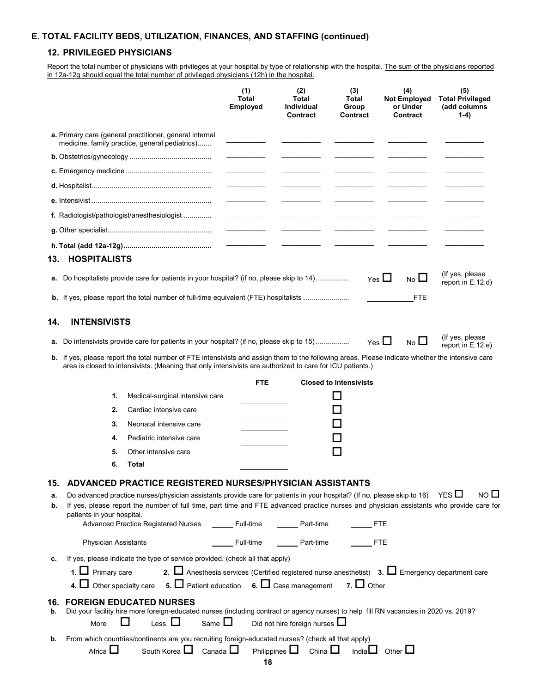### **12. PRIVILEGED PHYSICIANS**

Report the total number of physicians with privileges at your hospital by type of relationship with the hospital. The sum of the physicians reported in 12a-12g should equal the total number of privileged physicians (12h) in the hospital.

|                                                                                                                                                                                                                                                               | (1)<br><b>Total</b><br><b>Employed</b>                                                                                                                                                                                                                                                                                                                                                                                                                                                      | (2)<br><b>Total</b><br>Individual<br><b>Contract</b> | (3)<br><b>Total</b><br>Group<br>Contract | (4)<br><b>Not Employed</b><br>or Under<br><b>Contract</b> | (5)<br><b>Total Privileged</b><br>(add columns<br>$1-4)$ |
|---------------------------------------------------------------------------------------------------------------------------------------------------------------------------------------------------------------------------------------------------------------|---------------------------------------------------------------------------------------------------------------------------------------------------------------------------------------------------------------------------------------------------------------------------------------------------------------------------------------------------------------------------------------------------------------------------------------------------------------------------------------------|------------------------------------------------------|------------------------------------------|-----------------------------------------------------------|----------------------------------------------------------|
| a. Primary care (general practitioner, general internal<br>medicine, family practice, general pediatrics)                                                                                                                                                     |                                                                                                                                                                                                                                                                                                                                                                                                                                                                                             |                                                      |                                          |                                                           |                                                          |
|                                                                                                                                                                                                                                                               |                                                                                                                                                                                                                                                                                                                                                                                                                                                                                             |                                                      |                                          |                                                           |                                                          |
|                                                                                                                                                                                                                                                               |                                                                                                                                                                                                                                                                                                                                                                                                                                                                                             |                                                      |                                          |                                                           |                                                          |
|                                                                                                                                                                                                                                                               | $\begin{tabular}{cccccc} \multicolumn{2}{c} {\textbf{1}} & \multicolumn{2}{c} {\textbf{2}} & \multicolumn{2}{c} {\textbf{3}} & \multicolumn{2}{c} {\textbf{4}} & \multicolumn{2}{c} {\textbf{5}} & \multicolumn{2}{c} {\textbf{6}} & \multicolumn{2}{c} {\textbf{7}} & \multicolumn{2}{c} {\textbf{8}} & \multicolumn{2}{c} {\textbf{9}} & \multicolumn{2}{c} {\textbf{1}} & \multicolumn{2}{c} {\textbf{1}} & \multicolumn{2}{c} {\textbf{1}} & \multicolumn{2}{c} {\textbf{1}} & \multic$ |                                                      |                                          |                                                           |                                                          |
|                                                                                                                                                                                                                                                               |                                                                                                                                                                                                                                                                                                                                                                                                                                                                                             |                                                      |                                          |                                                           |                                                          |
| f. Radiologist/pathologist/anesthesiologist                                                                                                                                                                                                                   |                                                                                                                                                                                                                                                                                                                                                                                                                                                                                             |                                                      |                                          |                                                           |                                                          |
|                                                                                                                                                                                                                                                               |                                                                                                                                                                                                                                                                                                                                                                                                                                                                                             |                                                      |                                          |                                                           |                                                          |
| <b>HOSPITALISTS</b><br>13.                                                                                                                                                                                                                                    | $\frac{1}{2} \left( \frac{1}{2} \right) \left( \frac{1}{2} \right) \left( \frac{1}{2} \right) \left( \frac{1}{2} \right) \left( \frac{1}{2} \right) \left( \frac{1}{2} \right) \left( \frac{1}{2} \right) \left( \frac{1}{2} \right) \left( \frac{1}{2} \right) \left( \frac{1}{2} \right) \left( \frac{1}{2} \right) \left( \frac{1}{2} \right) \left( \frac{1}{2} \right) \left( \frac{1}{2} \right) \left( \frac{1}{2} \right) \left( \frac{1}{2} \right) \left( \frac$                  |                                                      |                                          |                                                           |                                                          |
| <b>a.</b> Do hospitalists provide care for patients in your hospital? (if no, please skip to 14)                                                                                                                                                              |                                                                                                                                                                                                                                                                                                                                                                                                                                                                                             |                                                      | Yes $\Box$                               | $No$ $\Box$                                               | (If yes, please)<br>report in E.12.d)                    |
| <b>b.</b> If yes, please report the total number of full-time equivalent (FTE) hospitalists                                                                                                                                                                   |                                                                                                                                                                                                                                                                                                                                                                                                                                                                                             |                                                      |                                          | <b>FTE</b>                                                |                                                          |
| <b>INTENSIVISTS</b><br>14.                                                                                                                                                                                                                                    |                                                                                                                                                                                                                                                                                                                                                                                                                                                                                             |                                                      |                                          |                                                           |                                                          |
| <b>a.</b> Do intensivists provide care for patients in your hospital? (if no, please skip to 15)                                                                                                                                                              |                                                                                                                                                                                                                                                                                                                                                                                                                                                                                             |                                                      | $Yes$ $\Box$                             | $No$ $\Box$                                               | (If yes, please)<br>report in E.12.e)                    |
| b. If yes, please report the total number of FTE intensivists and assign them to the following areas. Please indicate whether the intensive care<br>area is closed to intensivists. (Meaning that only intensivists are authorized to care for ICU patients.) |                                                                                                                                                                                                                                                                                                                                                                                                                                                                                             |                                                      |                                          |                                                           |                                                          |
|                                                                                                                                                                                                                                                               | <b>FTE</b>                                                                                                                                                                                                                                                                                                                                                                                                                                                                                  |                                                      | <b>Closed to Intensivists</b>            |                                                           |                                                          |
| 1 Medical curraical intensive care                                                                                                                                                                                                                            |                                                                                                                                                                                                                                                                                                                                                                                                                                                                                             |                                                      | п                                        |                                                           |                                                          |

|                 | 1.                                                        | Medical-surgical intensive care                                                                                                                                                                                                                                                                                                                                                                          |                                                                                                            |                                    |                                  |                 |
|-----------------|-----------------------------------------------------------|----------------------------------------------------------------------------------------------------------------------------------------------------------------------------------------------------------------------------------------------------------------------------------------------------------------------------------------------------------------------------------------------------------|------------------------------------------------------------------------------------------------------------|------------------------------------|----------------------------------|-----------------|
|                 | 2.                                                        | Cardiac intensive care                                                                                                                                                                                                                                                                                                                                                                                   |                                                                                                            |                                    |                                  |                 |
|                 | 3.                                                        | Neonatal intensive care                                                                                                                                                                                                                                                                                                                                                                                  |                                                                                                            |                                    |                                  |                 |
|                 | 4.                                                        | Pediatric intensive care                                                                                                                                                                                                                                                                                                                                                                                 |                                                                                                            |                                    |                                  |                 |
|                 | 5.                                                        | Other intensive care                                                                                                                                                                                                                                                                                                                                                                                     |                                                                                                            |                                    |                                  |                 |
|                 | 6.                                                        | <b>Total</b>                                                                                                                                                                                                                                                                                                                                                                                             |                                                                                                            |                                    |                                  |                 |
| 15.<br>а.<br>b. | patients in your hospital.<br><b>Physician Assistants</b> | <b>ADVANCED PRACTICE REGISTERED NURSES/PHYSICIAN ASSISTANTS</b><br>Do advanced practice nurses/physician assistants provide care for patients in your hospital? (If no, please skip to 16) YES $\Box$<br>If yes, please report the number of full time, part time and FTE advanced practice nurses and physician assistants who provide care for<br>Advanced Practice Registered Nurses ______ Full-time | <b>Full-time</b> Part-time                                                                                 | <b>Part-time</b>                   | <b>FTE</b><br><b>Example FTE</b> | NO <sub>1</sub> |
| c.              | 1. $\Box$ Primary care                                    | If yes, please indicate the type of service provided. (check all that apply)<br>4. $\Box$ Other specialty care 5. $\Box$ Patient education 6. $\Box$ Case management 7. $\Box$ Other                                                                                                                                                                                                                     | 2. $\Box$ Anesthesia services (Certified registered nurse anesthetist) 3. $\Box$ Emergency department care |                                    |                                  |                 |
| 16.<br>b.       | More                                                      | <b>FOREIGN EDUCATED NURSES</b><br>Did your facility hire more foreign-educated nurses (including contract or agency nurses) to help fill RN vacancies in 2020 vs. 2019?<br>Less $\Box$                                                                                                                                                                                                                   | Same $\Box$                                                                                                | Did not hire foreign nurses $\Box$ |                                  |                 |
| b.              |                                                           | From which countries/continents are you recruiting foreign-educated nurses? (check all that apply)                                                                                                                                                                                                                                                                                                       |                                                                                                            |                                    |                                  |                 |

| пс⊱ | ∴∧uth<br>orea | `onodo<br>$\overline{ }$ | <br><b>pines</b><br>יוווה | $\sim$<br>:hıns | .<br>-India' | $\bigcap$ ther |
|-----|---------------|--------------------------|---------------------------|-----------------|--------------|----------------|
|-----|---------------|--------------------------|---------------------------|-----------------|--------------|----------------|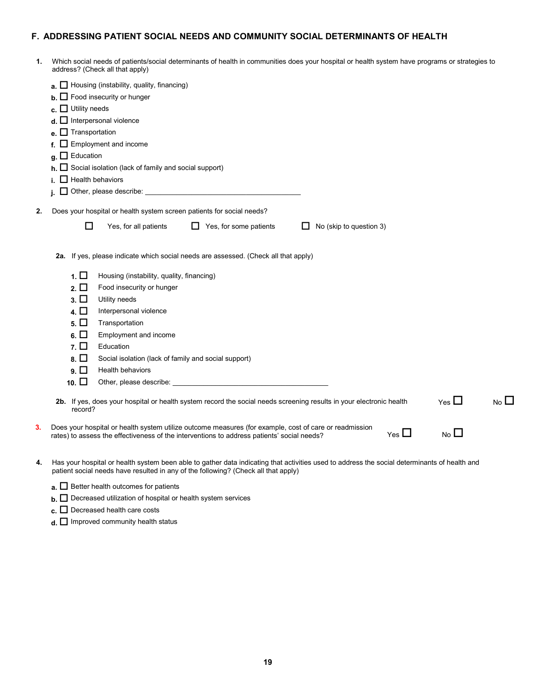# **F. ADDRESSING PATIENT SOCIAL NEEDS AND COMMUNITY SOCIAL DETERMINANTS OF HEALTH**

| 1. |                                      | Which social needs of patients/social determinants of health in communities does your hospital or health system have programs or strategies to<br>address? (Check all that apply)                    |                               |              |                         |            |             |                |
|----|--------------------------------------|------------------------------------------------------------------------------------------------------------------------------------------------------------------------------------------------------|-------------------------------|--------------|-------------------------|------------|-------------|----------------|
|    |                                      | $\mathbf{a}$ . $\Box$ Housing (instability, quality, financing)                                                                                                                                      |                               |              |                         |            |             |                |
|    |                                      | $\mathbf{b}$ . $\Box$ Food insecurity or hunger                                                                                                                                                      |                               |              |                         |            |             |                |
|    | $\mathbf{c}$ . $\Box$ Utility needs  |                                                                                                                                                                                                      |                               |              |                         |            |             |                |
|    |                                      | $d.$ Interpersonal violence                                                                                                                                                                          |                               |              |                         |            |             |                |
|    | $\mathbf{e}$ . $\Box$ Transportation |                                                                                                                                                                                                      |                               |              |                         |            |             |                |
|    |                                      | $f.$ $\Box$ Employment and income                                                                                                                                                                    |                               |              |                         |            |             |                |
|    | $q.$ Education                       |                                                                                                                                                                                                      |                               |              |                         |            |             |                |
|    |                                      | $h.$ Social isolation (lack of family and social support)                                                                                                                                            |                               |              |                         |            |             |                |
|    | $\Box$ Health behaviors              |                                                                                                                                                                                                      |                               |              |                         |            |             |                |
|    |                                      | Other, please describe: contact the contract of the contract of the contract of the contract of the contract of                                                                                      |                               |              |                         |            |             |                |
|    |                                      |                                                                                                                                                                                                      |                               |              |                         |            |             |                |
| 2. |                                      | Does your hospital or health system screen patients for social needs?                                                                                                                                |                               |              |                         |            |             |                |
|    | □                                    | Yes, for all patients                                                                                                                                                                                | $\Box$ Yes, for some patients | $\mathbf{L}$ | No (skip to question 3) |            |             |                |
|    |                                      |                                                                                                                                                                                                      |                               |              |                         |            |             |                |
|    | 2a.                                  | If yes, please indicate which social needs are assessed. (Check all that apply)                                                                                                                      |                               |              |                         |            |             |                |
|    | 1. □                                 | Housing (instability, quality, financing)                                                                                                                                                            |                               |              |                         |            |             |                |
|    | $2. \Box$                            | Food insecurity or hunger                                                                                                                                                                            |                               |              |                         |            |             |                |
|    | $3.$ $\Box$                          | Utility needs                                                                                                                                                                                        |                               |              |                         |            |             |                |
|    | 4. □                                 | Interpersonal violence                                                                                                                                                                               |                               |              |                         |            |             |                |
|    | 5. $\Box$                            | Transportation                                                                                                                                                                                       |                               |              |                         |            |             |                |
|    | 6. $\Box$                            | Employment and income                                                                                                                                                                                |                               |              |                         |            |             |                |
|    | 7. □                                 | Education                                                                                                                                                                                            |                               |              |                         |            |             |                |
|    | 8. $\square$                         | Social isolation (lack of family and social support)                                                                                                                                                 |                               |              |                         |            |             |                |
|    | 9. $\square$                         | <b>Health behaviors</b>                                                                                                                                                                              |                               |              |                         |            |             |                |
|    | 10. $\Box$                           |                                                                                                                                                                                                      |                               |              |                         |            |             |                |
|    | record?                              | 2b. If yes, does your hospital or health system record the social needs screening results in your electronic health                                                                                  |                               |              |                         |            | Yes $\Box$  | $No$ $\square$ |
| 3. |                                      | Does your hospital or health system utilize outcome measures (for example, cost of care or readmission<br>rates) to assess the effectiveness of the interventions to address patients' social needs? |                               |              |                         | Yes $\Box$ | $No$ $\Box$ |                |

- **4.** Has your hospital or health system been able to gather data indicating that activities used to address the social determinants of health and patient social needs have resulted in any of the following? (Check all that apply)
	- **a.**  $\Box$  Better health outcomes for patients
	- **b.**  $\Box$  Decreased utilization of hospital or health system services

**c.**  $\Box$  Decreased health care costs

**d.** □ Improved community health status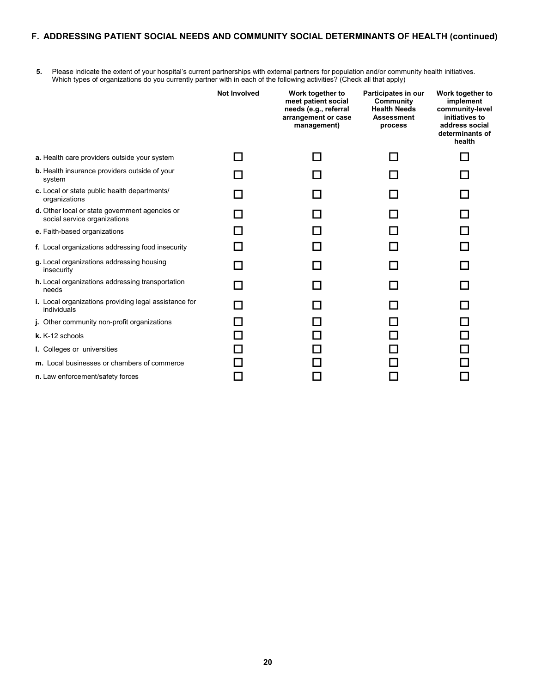### **F. ADDRESSING PATIENT SOCIAL NEEDS AND COMMUNITY SOCIAL DETERMINANTS OF HEALTH (continued)**

#### **5.** Please indicate the extent of your hospital's current partnerships with external partners for population and/or community health initiatives. Which types of organizations do you currently partner with in each of the following activities? (Check all that apply)

|                                                                                | <b>Not Involved</b> | Work together to<br>meet patient social<br>needs (e.g., referral<br>arrangement or case<br>management) | Participates in our<br>Community<br><b>Health Needs</b><br><b>Assessment</b><br>process | Work together to<br>implement<br>community-level<br>initiatives to<br>address social<br>determinants of<br>health |
|--------------------------------------------------------------------------------|---------------------|--------------------------------------------------------------------------------------------------------|-----------------------------------------------------------------------------------------|-------------------------------------------------------------------------------------------------------------------|
| a. Health care providers outside your system                                   |                     |                                                                                                        | П                                                                                       |                                                                                                                   |
| <b>b.</b> Health insurance providers outside of your<br>system                 |                     |                                                                                                        |                                                                                         |                                                                                                                   |
| c. Local or state public health departments/<br>organizations                  |                     |                                                                                                        |                                                                                         |                                                                                                                   |
| d. Other local or state government agencies or<br>social service organizations |                     |                                                                                                        |                                                                                         |                                                                                                                   |
| e. Faith-based organizations                                                   |                     |                                                                                                        |                                                                                         |                                                                                                                   |
| f. Local organizations addressing food insecurity                              |                     |                                                                                                        |                                                                                         |                                                                                                                   |
| g. Local organizations addressing housing<br>insecurity                        |                     |                                                                                                        |                                                                                         |                                                                                                                   |
| h. Local organizations addressing transportation<br>needs                      |                     |                                                                                                        |                                                                                         |                                                                                                                   |
| i. Local organizations providing legal assistance for<br>individuals           |                     |                                                                                                        |                                                                                         |                                                                                                                   |
| j. Other community non-profit organizations                                    |                     |                                                                                                        |                                                                                         |                                                                                                                   |
| k. K-12 schools                                                                |                     |                                                                                                        |                                                                                         | $\mathcal{L}$                                                                                                     |
| I. Colleges or universities                                                    |                     |                                                                                                        |                                                                                         |                                                                                                                   |
| m. Local businesses or chambers of commerce                                    |                     |                                                                                                        |                                                                                         |                                                                                                                   |
| n. Law enforcement/safety forces                                               |                     |                                                                                                        |                                                                                         |                                                                                                                   |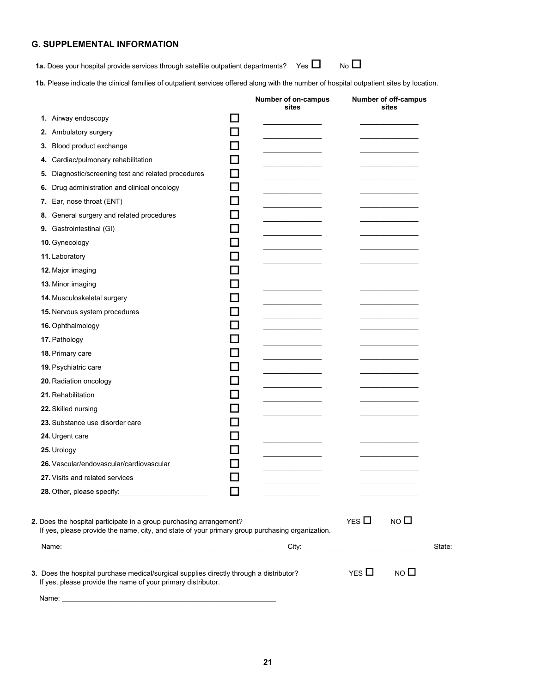# **G. SUPPLEMENTAL INFORMATION**

Name: \_\_\_\_\_\_\_\_\_\_\_\_\_\_\_\_\_\_\_\_\_\_\_\_\_\_\_\_\_\_\_\_\_\_\_\_\_\_\_\_\_\_\_\_\_\_\_\_\_\_\_\_\_\_\_

**1a.** Does your hospital provide services through satellite outpatient departments? Yes  $\Box$  No  $\Box$ 

**1b.** Please indicate the clinical families of outpatient services offered along with the number of hospital outpatient sites by location.

| 1. Airway endoscopy<br>2. Ambulatory surgery<br>Blood product exchange<br>4. Cardiac/pulmonary rehabilitation<br>Diagnostic/screening test and related procedures<br>Drug administration and clinical oncology<br>7. Ear, nose throat (ENT)<br>8. General surgery and related procedures<br>9. Gastrointestinal (GI) | П<br>$\Box$<br>$\Box$<br>$\Box$<br>$\Box$<br>$\Box$<br>□<br>$\Box$ |                                           |                                                                                           |                                              |
|----------------------------------------------------------------------------------------------------------------------------------------------------------------------------------------------------------------------------------------------------------------------------------------------------------------------|--------------------------------------------------------------------|-------------------------------------------|-------------------------------------------------------------------------------------------|----------------------------------------------|
|                                                                                                                                                                                                                                                                                                                      |                                                                    |                                           |                                                                                           |                                              |
|                                                                                                                                                                                                                                                                                                                      |                                                                    |                                           |                                                                                           |                                              |
|                                                                                                                                                                                                                                                                                                                      |                                                                    |                                           |                                                                                           |                                              |
|                                                                                                                                                                                                                                                                                                                      |                                                                    |                                           |                                                                                           |                                              |
|                                                                                                                                                                                                                                                                                                                      |                                                                    |                                           |                                                                                           |                                              |
|                                                                                                                                                                                                                                                                                                                      |                                                                    |                                           |                                                                                           |                                              |
|                                                                                                                                                                                                                                                                                                                      |                                                                    |                                           |                                                                                           |                                              |
|                                                                                                                                                                                                                                                                                                                      |                                                                    | the control of the control of the control | the control of the control of the control of                                              |                                              |
|                                                                                                                                                                                                                                                                                                                      | $\Box$                                                             |                                           |                                                                                           |                                              |
| 10. Gynecology                                                                                                                                                                                                                                                                                                       | □                                                                  |                                           |                                                                                           |                                              |
| 11. Laboratory                                                                                                                                                                                                                                                                                                       | $\mathcal{L}$                                                      |                                           |                                                                                           |                                              |
| 12. Major imaging                                                                                                                                                                                                                                                                                                    | $\mathcal{L}$                                                      |                                           |                                                                                           |                                              |
| 13. Minor imaging                                                                                                                                                                                                                                                                                                    | $\mathcal{L}$                                                      |                                           |                                                                                           |                                              |
| 14. Musculoskeletal surgery                                                                                                                                                                                                                                                                                          | H                                                                  |                                           |                                                                                           |                                              |
| 15. Nervous system procedures                                                                                                                                                                                                                                                                                        | П                                                                  |                                           |                                                                                           |                                              |
| 16. Ophthalmology                                                                                                                                                                                                                                                                                                    | $\Box$                                                             |                                           |                                                                                           |                                              |
| 17. Pathology                                                                                                                                                                                                                                                                                                        | $\Box$                                                             |                                           |                                                                                           |                                              |
| 18. Primary care                                                                                                                                                                                                                                                                                                     | $\Box$                                                             |                                           |                                                                                           |                                              |
| 19. Psychiatric care                                                                                                                                                                                                                                                                                                 | $\Box$                                                             |                                           |                                                                                           |                                              |
| 20. Radiation oncology                                                                                                                                                                                                                                                                                               | $\Box$                                                             |                                           |                                                                                           |                                              |
| 21. Rehabilitation                                                                                                                                                                                                                                                                                                   | $\Box$                                                             |                                           |                                                                                           |                                              |
| 22. Skilled nursing                                                                                                                                                                                                                                                                                                  | $\Box$                                                             |                                           |                                                                                           |                                              |
| 23. Substance use disorder care                                                                                                                                                                                                                                                                                      | $\Box$                                                             |                                           |                                                                                           |                                              |
| 24. Urgent care                                                                                                                                                                                                                                                                                                      | $\Box$                                                             |                                           |                                                                                           |                                              |
| 25. Urology                                                                                                                                                                                                                                                                                                          | $\mathcal{L}_{\mathcal{A}}$                                        |                                           |                                                                                           |                                              |
| 26. Vascular/endovascular/cardiovascular                                                                                                                                                                                                                                                                             | □                                                                  |                                           |                                                                                           |                                              |
| 27. Visits and related services                                                                                                                                                                                                                                                                                      | $\sim$                                                             |                                           |                                                                                           |                                              |
| 28. Other, please specify:                                                                                                                                                                                                                                                                                           |                                                                    |                                           |                                                                                           |                                              |
|                                                                                                                                                                                                                                                                                                                      |                                                                    |                                           | <u> 1990 - Johann Barbara, martin a</u><br><u> 1989 - Johann Stoff, Amerikaansk konst</u> | the control of the control of the control of |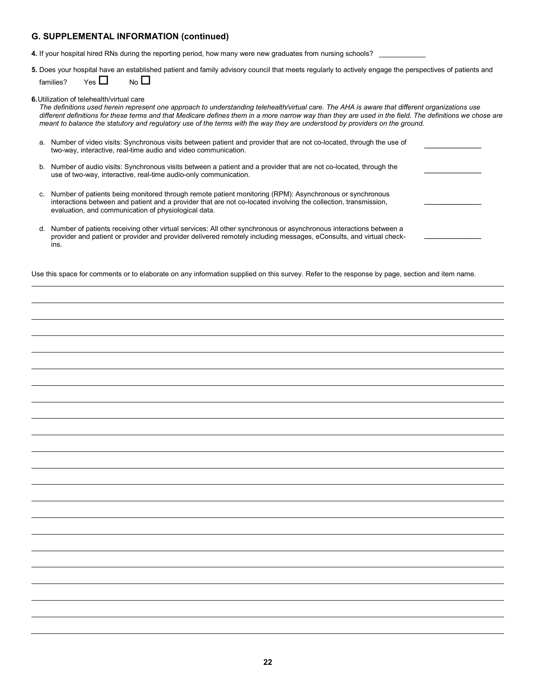### **G. SUPPLEMENTAL INFORMATION (continued)**

**4.** If your hospital hired RNs during the reporting period, how many were new graduates from nursing schools?

**5.** Does your hospital have an established patient and family advisory council that meets regularly to actively engage the perspectives of patients and families?  $Yes$   $\Box$  No  $\Box$ 

**6.**Utilization of telehealth/virtual care

*The definitions used herein represent one approach to understanding telehealth/virtual care. The AHA is aware that different organizations use*  different definitions for these terms and that Medicare defines them in a more narrow way than they are used in the field. The definitions we chose are *meant to balance the statutory and regulatory use of the terms with the way they are understood by providers on the ground.*

**\_\_\_\_\_\_\_\_\_\_\_\_\_**

**\_\_\_\_\_\_\_\_\_\_\_\_\_**

| a. Number of video visits: Synchronous visits between patient and provider that are not co-located, through the use of |
|------------------------------------------------------------------------------------------------------------------------|
| two-way, interactive, real-time audio and video communication.                                                         |
|                                                                                                                        |

b. Number of audio visits: Synchronous visits between a patient and a provider that are not co-located, through the use of two-way, interactive, real-time audio-only communication. **\_\_\_\_\_\_\_\_\_\_\_\_\_**

| c. Number of patients being monitored through remote patient monitoring (RPM): Asynchronous or synchronous      |
|-----------------------------------------------------------------------------------------------------------------|
| interactions between and patient and a provider that are not co-located involving the collection, transmission, |
| evaluation, and communication of physiological data.                                                            |

| d. Number of patients receiving other virtual services: All other synchronous or asynchronous interactions between a |
|----------------------------------------------------------------------------------------------------------------------|
| provider and patient or provider and provider delivered remotely including messages, eConsults, and virtual check-   |
| Ins.                                                                                                                 |

Use this space for comments or to elaborate on any information supplied on this survey. Refer to the response by page, section and item name.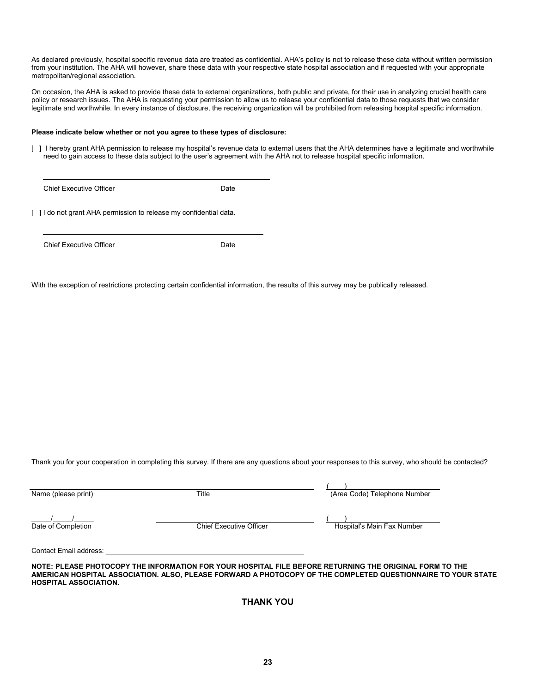As declared previously, hospital specific revenue data are treated as confidential. AHA's policy is not to release these data without written permission from your institution. The AHA will however, share these data with your respective state hospital association and if requested with your appropriate metropolitan/regional association.

On occasion, the AHA is asked to provide these data to external organizations, both public and private, for their use in analyzing crucial health care policy or research issues. The AHA is requesting your permission to allow us to release your confidential data to those requests that we consider legitimate and worthwhile. In every instance of disclosure, the receiving organization will be prohibited from releasing hospital specific information.

#### **Please indicate below whether or not you agree to these types of disclosure:**

[ ] I hereby grant AHA permission to release my hospital's revenue data to external users that the AHA determines have a legitimate and worthwhile need to gain access to these data subject to the user's agreement with the AHA not to release hospital specific information.

Chief Executive Officer **Date** Date

[  $\,$  ] I do not grant AHA permission to release my confidential data.

Chief Executive Officer **Date** Date

With the exception of restrictions protecting certain confidential information, the results of this survey may be publically released.

Thank you for your cooperation in completing this survey. If there are any questions about your responses to this survey, who should be contacted?

| Name (please print) | Title                          | (Area Code) Telephone Number |
|---------------------|--------------------------------|------------------------------|
| Date of Completion  | <b>Chief Executive Officer</b> | Hospital's Main Fax Number   |

Contact Email address:

**NOTE: PLEASE PHOTOCOPY THE INFORMATION FOR YOUR HOSPITAL FILE BEFORE RETURNING THE ORIGINAL FORM TO THE AMERICAN HOSPITAL ASSOCIATION. ALSO, PLEASE FORWARD A PHOTOCOPY OF THE COMPLETED QUESTIONNAIRE TO YOUR STATE HOSPITAL ASSOCIATION.** 

**THANK YOU**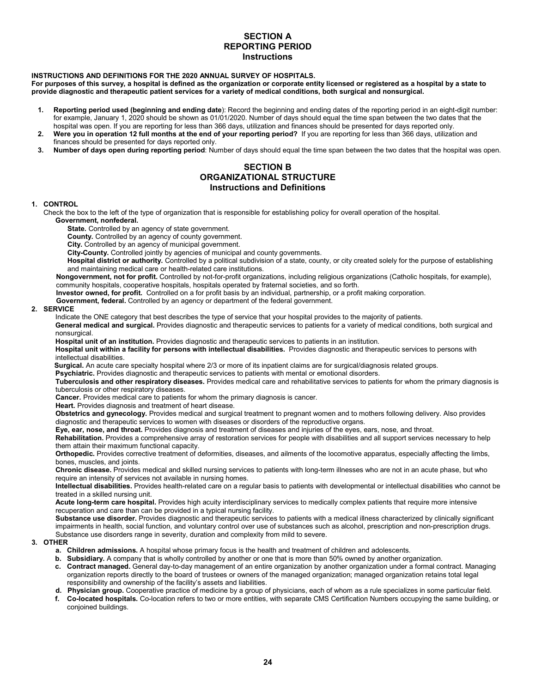### **SECTION A REPORTING PERIOD Instructions**

### **INSTRUCTIONS AND DEFINITIONS FOR THE 2020 ANNUAL SURVEY OF HOSPITALS.**

**For purposes of this survey, a hospital is defined as the organization or corporate entity licensed or registered as a hospital by a state to provide diagnostic and therapeutic patient services for a variety of medical conditions, both surgical and nonsurgical.**

- **1. Reporting period used (beginning and ending date**): Record the beginning and ending dates of the reporting period in an eight-digit number: for example, January 1, 2020 should be shown as 01/01/2020. Number of days should equal the time span between the two dates that the hospital was open. If you are reporting for less than 366 days, utilization and finances should be presented for days reported only.
- **2. Were you in operation 12 full months at the end of your reporting period?** If you are reporting for less than 366 days, utilization and finances should be presented for days reported only.
- **3. Number of days open during reporting period**: Number of days should equal the time span between the two dates that the hospital was open.

### **SECTION B ORGANIZATIONAL STRUCTURE Instructions and Definitions**

#### **1. CONTROL**

Check the box to the left of the type of organization that is responsible for establishing policy for overall operation of the hospital. **Government, nonfederal.**

**State.** Controlled by an agency of state government.

**County.** Controlled by an agency of county government.

**City.** Controlled by an agency of municipal government.

**City-County.** Controlled jointly by agencies of municipal and county governments.

**Hospital district or authority.** Controlled by a political subdivision of a state, county, or city created solely for the purpose of establishing and maintaining medical care or health-related care institutions.

**Nongovernment, not for profit.** Controlled by not-for-profit organizations, including religious organizations (Catholic hospitals, for example), community hospitals, cooperative hospitals, hospitals operated by fraternal societies, and so forth.

**Investor owned, for profit.** Controlled on a for profit basis by an individual, partnership, or a profit making corporation.

**Government, federal.** Controlled by an agency or department of the federal government.

#### **2. SERVICE**

Indicate the ONE category that best describes the type of service that your hospital provides to the majority of patients. **General medical and surgical.** Provides diagnostic and therapeutic services to patients for a variety of medical conditions, both surgical and nonsurgical.

**Hospital unit of an institution.** Provides diagnostic and therapeutic services to patients in an institution.

**Hospital unit within a facility for persons with intellectual disabilities.** Provides diagnostic and therapeutic services to persons with intellectual disabilities.

**Surgical.** An acute care specialty hospital where 2/3 or more of its inpatient claims are for surgical/diagnosis related groups.

**Psychiatric.** Provides diagnostic and therapeutic services to patients with mental or emotional disorders.

**Tuberculosis and other respiratory diseases.** Provides medical care and rehabilitative services to patients for whom the primary diagnosis is tuberculosis or other respiratory diseases.

**Cancer.** Provides medical care to patients for whom the primary diagnosis is cancer.

**Heart.** Provides diagnosis and treatment of heart disease.

**Obstetrics and gynecology.** Provides medical and surgical treatment to pregnant women and to mothers following delivery. Also provides diagnostic and therapeutic services to women with diseases or disorders of the reproductive organs.

**Eye, ear, nose, and throat.** Provides diagnosis and treatment of diseases and injuries of the eyes, ears, nose, and throat.

**Rehabilitation.** Provides a comprehensive array of restoration services for people with disabilities and all support services necessary to help them attain their maximum functional capacity.

**Orthopedic.** Provides corrective treatment of deformities, diseases, and ailments of the locomotive apparatus, especially affecting the limbs, bones, muscles, and joints.

**Chronic disease.** Provides medical and skilled nursing services to patients with long-term illnesses who are not in an acute phase, but who require an intensity of services not available in nursing homes.

**Intellectual disabilities.** Provides health-related care on a regular basis to patients with developmental or intellectual disabilities who cannot be treated in a skilled nursing unit.

**Acute long-term care hospital.** Provides high acuity interdisciplinary services to medically complex patients that require more intensive recuperation and care than can be provided in a typical nursing facility.

**Substance use disorder.** Provides diagnostic and therapeutic services to patients with a medical illness characterized by clinically significant impairments in health, social function, and voluntary control over use of substances such as alcohol, prescription and non-prescription drugs. Substance use disorders range in severity, duration and complexity from mild to severe.

#### **3. OTHER**

- **a. Children admissions.** A hospital whose primary focus is the health and treatment of children and adolescents.
- **b. Subsidiary.** A company that is wholly controlled by another or one that is more than 50% owned by another organization.
- **c. Contract managed.** General day-to-day management of an entire organization by another organization under a formal contract. Managing organization reports directly to the board of trustees or owners of the managed organization; managed organization retains total legal responsibility and ownership of the facility's assets and liabilities.
- **d. Physician group.** Cooperative practice of medicine by a group of physicians, each of whom as a rule specializes in some particular field.
- **f. Co-located hospitals.** Co-location refers to two or more entities, with separate CMS Certification Numbers occupying the same building, or conjoined buildings.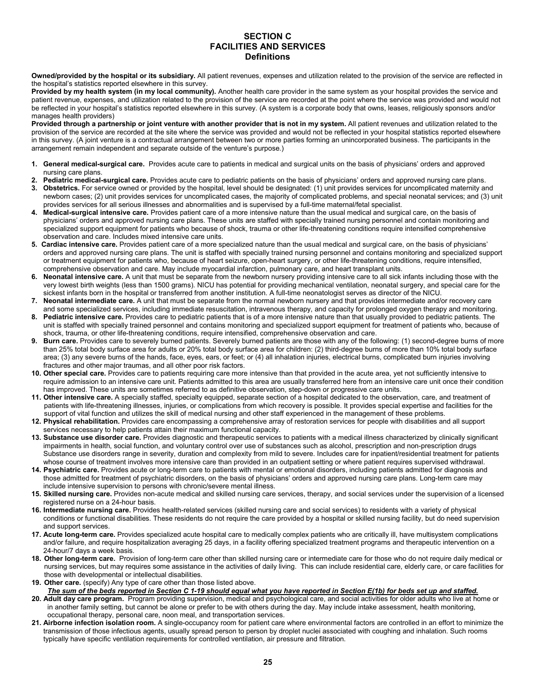### **SECTION C FACILITIES AND SERVICES Definitions**

**Owned/provided by the hospital or its subsidiary.** All patient revenues, expenses and utilization related to the provision of the service are reflected in the hospital's statistics reported elsewhere in this survey.

**Provided by my health system (in my local community).** Another health care provider in the same system as your hospital provides the service and patient revenue, expenses, and utilization related to the provision of the service are recorded at the point where the service was provided and would not be reflected in your hospital's statistics reported elsewhere in this survey. (A system is a corporate body that owns, leases, religiously sponsors and/or manages health providers)

**Provided through a partnership or joint venture with another provider that is not in my system.** All patient revenues and utilization related to the provision of the service are recorded at the site where the service was provided and would not be reflected in your hospital statistics reported elsewhere in this survey. (A joint venture is a contractual arrangement between two or more parties forming an unincorporated business. The participants in the arrangement remain independent and separate outside of the venture's purpose.)

- **1. General medical-surgical care.** Provides acute care to patients in medical and surgical units on the basis of physicians' orders and approved nursing care plans.
- **2. Pediatric medical-surgical care.** Provides acute care to pediatric patients on the basis of physicians' orders and approved nursing care plans.
- **3. Obstetrics.** For service owned or provided by the hospital, level should be designated: (1) unit provides services for uncomplicated maternity and newborn cases; (2) unit provides services for uncomplicated cases, the majority of complicated problems, and special neonatal services; and (3) unit provides services for all serious illnesses and abnormalities and is supervised by a full-time maternal/fetal specialist.
- **4. Medical-surgical intensive care.** Provides patient care of a more intensive nature than the usual medical and surgical care, on the basis of physicians' orders and approved nursing care plans. These units are staffed with specially trained nursing personnel and contain monitoring and specialized support equipment for patients who because of shock, trauma or other life-threatening conditions require intensified comprehensive observation and care. Includes mixed intensive care units.
- **5. Cardiac intensive care.** Provides patient care of a more specialized nature than the usual medical and surgical care, on the basis of physicians' orders and approved nursing care plans. The unit is staffed with specially trained nursing personnel and contains monitoring and specialized support or treatment equipment for patients who, because of heart seizure, open-heart surgery, or other life-threatening conditions, require intensified, comprehensive observation and care. May include myocardial infarction, pulmonary care, and heart transplant units.
- **6. Neonatal intensive care.** A unit that must be separate from the newborn nursery providing intensive care to all sick infants including those with the very lowest birth weights (less than 1500 grams). NICU has potential for providing mechanical ventilation, neonatal surgery, and special care for the sickest infants born in the hospital or transferred from another institution. A full-time neonatologist serves as director of the NICU.
- **7. Neonatal intermediate care.** A unit that must be separate from the normal newborn nursery and that provides intermediate and/or recovery care and some specialized services, including immediate resuscitation, intravenous therapy, and capacity for prolonged oxygen therapy and monitoring.
- **8. Pediatric intensive care.** Provides care to pediatric patients that is of a more intensive nature than that usually provided to pediatric patients. The unit is staffed with specially trained personnel and contains monitoring and specialized support equipment for treatment of patients who, because of shock, trauma, or other life-threatening conditions, require intensified, comprehensive observation and care.
- **9. Burn care.** Provides care to severely burned patients. Severely burned patients are those with any of the following: (1) second-degree burns of more than 25% total body surface area for adults or 20% total body surface area for children: (2) third-degree burns of more than 10% total body surface area; (3) any severe burns of the hands, face, eyes, ears, or feet; or (4) all inhalation injuries, electrical burns, complicated burn injuries involving fractures and other major traumas, and all other poor risk factors.
- **10. Other special care.** Provides care to patients requiring care more intensive than that provided in the acute area, yet not sufficiently intensive to require admission to an intensive care unit. Patients admitted to this area are usually transferred here from an intensive care unit once their condition has improved. These units are sometimes referred to as definitive observation, step-down or progressive care units.
- **11. Other intensive care.** A specially staffed, specialty equipped, separate section of a hospital dedicated to the observation, care, and treatment of patients with life-threatening illnesses, injuries, or complications from which recovery is possible. It provides special expertise and facilities for the support of vital function and utilizes the skill of medical nursing and other staff experienced in the management of these problems.
- **12. Physical rehabilitation.** Provides care encompassing a comprehensive array of restoration services for people with disabilities and all support services necessary to help patients attain their maximum functional capacity.
- **13. Substance use disorder care.** Provides diagnostic and therapeutic services to patients with a medical illness characterized by clinically significant impairments in health, social function, and voluntary control over use of substances such as alcohol, prescription and non-prescription drugs Substance use disorders range in severity, duration and complexity from mild to severe. Includes care for inpatient/residential treatment for patients whose course of treatment involves more intensive care than provided in an outpatient setting or where patient requires supervised withdrawal.
- **14. Psychiatric care.** Provides acute or long-term care to patients with mental or emotional disorders, including patients admitted for diagnosis and those admitted for treatment of psychiatric disorders, on the basis of physicians' orders and approved nursing care plans. Long-term care may include intensive supervision to persons with chronic/severe mental illness.
- **15. Skilled nursing care.** Provides non-acute medical and skilled nursing care services, therapy, and social services under the supervision of a licensed registered nurse on a 24-hour basis.
- **16. Intermediate nursing care.** Provides health-related services (skilled nursing care and social services) to residents with a variety of physical conditions or functional disabilities. These residents do not require the care provided by a hospital or skilled nursing facility, but do need supervision and support services.
- **17. Acute long-term care.** Provides specialized acute hospital care to medically complex patients who are critically ill, have multisystem complications and/or failure, and require hospitalization averaging 25 days, in a facility offering specialized treatment programs and therapeutic intervention on a 24-hour/7 days a week basis.
- **18. Other long-term care.** Provision of long-term care other than skilled nursing care or intermediate care for those who do not require daily medical or nursing services, but may requires some assistance in the activities of daily living. This can include residential care, elderly care, or care facilities for those with developmental or intellectual disabilities.
- **19. Other care.** (specify) Any type of care other than those listed above. *The sum of the beds reported in Section C 1-19 should equal what you have reported in Section E(1b) for beds set up and staffed.*
- **20. Adult day care program.** Program providing supervision, medical and psychological care, and social activities for older adults who live at home or in another family setting, but cannot be alone or prefer to be with others during the day. May include intake assessment, health monitoring, occupational therapy, personal care, noon meal, and transportation services.
- **21. Airborne infection isolation room.** A single-occupancy room for patient care where environmental factors are controlled in an effort to minimize the transmission of those infectious agents, usually spread person to person by droplet nuclei associated with coughing and inhalation. Such rooms typically have specific ventilation requirements for controlled ventilation, air pressure and filtration.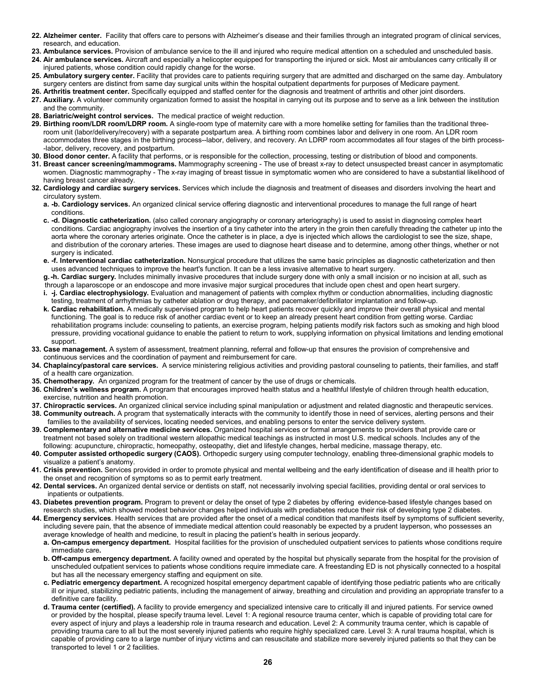- **22. Alzheimer center.** Facility that offers care to persons with Alzheimer's disease and their families through an integrated program of clinical services, research, and education.
- **23. Ambulance services.** Provision of ambulance service to the ill and injured who require medical attention on a scheduled and unscheduled basis.
- **24. Air ambulance services.** Aircraft and especially a helicopter equipped for transporting the injured or sick. Most air ambulances carry critically ill or injured patients, whose condition could rapidly change for the worse.
- **25. Ambulatory surgery center.** Facility that provides care to patients requiring surgery that are admitted and discharged on the same day. Ambulatory surgery centers are distinct from same day surgical units within the hospital outpatient departments for purposes of Medicare payment.
- **26. Arthritis treatment center.** Specifically equipped and staffed center for the diagnosis and treatment of arthritis and other joint disorders.
- **27. Auxiliary.** A volunteer community organization formed to assist the hospital in carrying out its purpose and to serve as a link between the institution and the community.
- **28. Bariatric/weight control services.** The medical practice of weight reduction.
- **29. Birthing room/LDR room/LDRP room.** A single-room type of maternity care with a more homelike setting for families than the traditional threeroom unit (labor/delivery/recovery) with a separate postpartum area. A birthing room combines labor and delivery in one room. An LDR room accommodates three stages in the birthing process--labor, delivery, and recovery. An LDRP room accommodates all four stages of the birth process- -labor, delivery, recovery, and postpartum.
- **30. Blood donor center.** A facility that performs, or is responsible for the collection, processing, testing or distribution of blood and components.
- **31. Breast cancer screening/mammograms.** Mammography screening The use of breast x-ray to detect unsuspected breast cancer in asymptomatic women. Diagnostic mammography - The x-ray imaging of breast tissue in symptomatic women who are considered to have a substantial likelihood of having breast cancer already.
- **32. Cardiology and cardiac surgery services.** Services which include the diagnosis and treatment of diseases and disorders involving the heart and circulatory system.
	- **a. -b. Cardiology services.** An organized clinical service offering diagnostic and interventional procedures to manage the full range of heart conditions.
	- **c. -d. Diagnostic catheterization.** (also called coronary angiography or coronary arteriography) is used to assist in diagnosing complex heart conditions. Cardiac angiography involves the insertion of a tiny catheter into the artery in the groin then carefully threading the catheter up into the aorta where the coronary arteries originate. Once the catheter is in place, a dye is injected which allows the cardiologist to see the size, shape, and distribution of the coronary arteries. These images are used to diagnose heart disease and to determine, among other things, whether or not surgery is indicated.
	- **e. -f. Interventional cardiac catheterization.** Nonsurgical procedure that utilizes the same basic principles as diagnostic catheterization and then uses advanced techniques to improve the heart's function. It can be a less invasive alternative t[o heart surgery.](http://www.geisinger.org/services/heart/HI/surgery.shtml)
	- **g.-h. Cardiac surgery.** Includes minimally invasive procedures that include surgery done with only a small incision or no incision at all, such as through a laparoscope or an endoscope and more invasive major surgical procedures that include open chest and open heart surgery.
	- **i. -j. Cardiac electrophysiology.** Evaluation and management of patients with complex rhythm or conduction abnormalities, including diagnostic testing, treatment of arrhythmias by catheter ablation or drug therapy, and pacemaker/defibrillator implantation and follow-up.
	- **k. Cardiac rehabilitation.** A medically supervised program to help heart patients recover quickly and improve their overall physical and mental functioning. The goal is to reduce risk of another cardiac event or to keep an already present heart condition from getting worse. Cardiac rehabilitation programs include: counseling to patients, an exercise program, helping patients modify risk factors such as smoking and high blood pressure, providing vocational guidance to enable the patient to return to work, supplying information on physical limitations and lending emotional support.
- **33. Case management.** A system of assessment, treatment planning, referral and follow-up that ensures the provision of comprehensive and continuous services and the coordination of payment and reimbursement for care.
- **34. Chaplaincy/pastoral care services.** A service ministering religious activities and providing pastoral counseling to patients, their families, and staff of a health care organization.
- **35. Chemotherapy.** An organized program for the treatment of cancer by the use of drugs or chemicals.
- **36. Children's wellness program.** A program that encourages improved health status and a healthful lifestyle of children through health education, exercise, nutrition and health promotion.
- **37. Chiropractic services.** An organized clinical service including spinal manipulation or adjustment and related diagnostic and therapeutic services.
- **38. Community outreach.** A program that systematically interacts with the community to identify those in need of services, alerting persons and their families to the availability of services, locating needed services, and enabling persons to enter the service delivery system.
- **39. Complementary and alternative medicine services.** Organized hospital services or formal arrangements to providers that provide care or treatment not based solely on traditional western allopathic medical teachings as instructed in most U.S. medical schools. Includes any of the following: acupuncture, chiropractic, homeopathy, osteopathy, diet and lifestyle changes, herbal medicine, massage therapy, etc.
- **40. Computer assisted orthopedic surgery (CAOS).** Orthopedic surgery using computer technology, enabling three-dimensional graphic models to visualize a patient's anatomy.
- **41. Crisis prevention.** Services provided in order to promote physical and mental wellbeing and the early identification of disease and ill health prior to the onset and recognition of symptoms so as to permit early treatment.
- **42. Dental services.** An organized dental service or dentists on staff, not necessarily involving special facilities, providing dental or oral services to inpatients or outpatients.
- **43. Diabetes prevention program.** Program to prevent or delay the onset of type 2 diabetes by offering evidence-based lifestyle changes based on research studies, which showed modest behavior changes helped individuals with prediabetes reduce their risk of developing type 2 diabetes.
- **44. Emergency services**. Health services that are provided after the onset of a medical condition that manifests itself by symptoms of sufficient severity, including severe pain, that the absence of immediate medical attention could reasonably be expected by a prudent layperson, who possesses an average knowledge of health and medicine, to result in placing the patient's health in serious jeopardy.
	- **a. On-campus emergency department.** Hospital facilities for the provision of unscheduled outpatient services to patients whose conditions require immediate care**.**
	- **b. Off-campus emergency department.** A facility owned and operated by the hospital but physically separate from the hospital for the provision of unscheduled outpatient services to patients whose conditions require immediate care. A freestanding ED is not physically connected to a hospital but has all the necessary emergency staffing and equipment on site.
	- **c. Pediatric emergency department.** A recognized hospital emergency department capable of identifying those pediatric patients who are critically ill or injured, stabilizing pediatric patients, including the management of airway, breathing and circulation and providing an appropriate transfer to a definitive care facility.
	- **d. Trauma center (certified).** A facility to provide emergency and specialized intensive care to critically ill and injured patients. For service owned or provided by the hospital, please specify trauma level. Level 1: A regional resource trauma center, which is capable of providing total care for every aspect of injury and plays a leadership role in trauma research and education. Level 2: A community trauma center, which is capable of providing trauma care to all but the most severely injured patients who require highly specialized care. Level 3: A rural trauma hospital, which is capable of providing care to a large number of injury victims and can resuscitate and stabilize more severely injured patients so that they can be transported to level 1 or 2 facilities.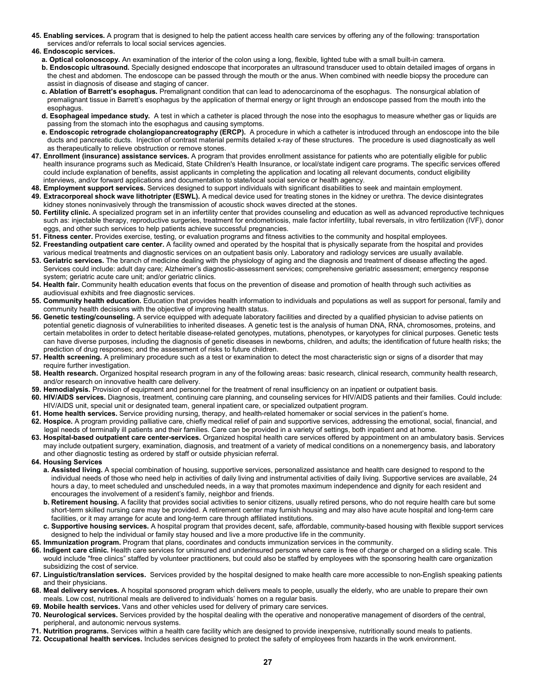- **45. Enabling services.** A program that is designed to help the patient access health care services by offering any of the following: transportation services and/or referrals to local social services agencies.
- **46. Endoscopic services.**
	- **a. Optical colonoscopy.** An examination of the interior of the colon using a long, flexible, lighted tube with a small built-in camera.
	- **b. Endoscopic ultrasound.** Specially designed endoscope that incorporates an ultrasound transducer used to obtain detailed images of organs in the chest and abdomen. The endoscope can be passed through the mouth or the anus. When combined with needle biopsy the procedure can assist in diagnosis of disease and staging of cancer.
	- **c. Ablation of Barrett's esophagus.** Premalignant condition that can lead to adenocarcinoma of the esophagus. The nonsurgical ablation of premalignant tissue in Barrett's esophagus by the application of thermal energy or light through an endoscope passed from the mouth into the esophagus.
	- **d. Esophageal impedance study.** A test in which a catheter is placed through the nose into the esophagus to measure whether gas or liquids are passing from the stomach into the esophagus and causing symptoms.
	- **e. Endoscopic retrograde cholangiopancreatography (ERCP).** A procedure in which a catheter is introduced through an endoscope into the bile ducts and pancreatic ducts. Injection of contrast material permits detailed x-ray of these structures. The procedure is used diagnostically as well as therapeutically to relieve obstruction or remove stones.
- **47. Enrollment (insurance) assistance services.** A program that provides enrollment assistance for patients who are potentially eligible for public health insurance programs such as Medicaid, State Children's Health Insurance, or local/state indigent care programs. The specific services offered could include explanation of benefits, assist applicants in completing the application and locating all relevant documents, conduct eligibility interviews, and/or forward applications and documentation to state/local social service or health agency.
- **48. Employment support services.** Services designed to support individuals with significant disabilities to seek and maintain employment.
- **49. Extracorporeal shock wave lithotripter (ESWL).** A medical device used for treating stones in the kidney or urethra. The device disintegrates kidney stones noninvasively through the transmission of acoustic shock waves directed at the stones.
- **50. Fertility clinic.** A specialized program set in an infertility center that provides counseling and education as well as advanced reproductive techniques such as: injectable therapy, reproductive surgeries, treatment for endometriosis, male factor infertility, tubal reversals, in vitro fertilization (IVF), donor eggs, and other such services to help patients achieve successful pregnancies.
- **51. Fitness center.** Provides exercise, testing, or evaluation programs and fitness activities to the community and hospital employees.
- **52. Freestanding outpatient care center.** A facility owned and operated by the hospital that is physically separate from the hospital and provides various medical treatments and diagnostic services on an outpatient basis only. Laboratory and radiology services are usually available.
- **53. Geriatric services.** The branch of medicine dealing with the physiology of aging and the diagnosis and treatment of disease affecting the aged. Services could include: adult day care; Alzheimer's diagnostic-assessment services; comprehensive geriatric assessment; emergency response system; geriatric acute care unit; and/or geriatric clinics.
- **54. Health fair.** Community health education events that focus on the prevention of disease and promotion of health through such activities as audiovisual exhibits and free diagnostic services.
- **55. Community health education.** Education that provides health information to individuals and populations as well as support for personal, family and community health decisions with the objective of improving health status.
- **56. Genetic testing/counseling.** A service equipped with adequate laboratory facilities and directed by a qualified physician to advise patients on potential genetic diagnosis of vulnerabilities to inherited diseases. A genetic test is the analysis of human DNA, RNA, chromosomes, proteins, and certain metabolites in order to detect heritable disease-related genotypes, mutations, phenotypes, or karyotypes for clinical purposes. Genetic tests can have diverse purposes, including the diagnosis of genetic diseases in newborns, children, and adults; the identification of future health risks; the prediction of drug responses; and the assessment of risks to future children.
- **57. Health screening.** A preliminary procedure such as a test or examination to detect the most characteristic sign or signs of a disorder that may require further investigation.
- **58. Health research.** Organized hospital research program in any of the following areas: basic research, clinical research, community health research, and/or research on innovative health care delivery.
- **59. Hemodialysis.** Provision of equipment and personnel for the treatment of renal insufficiency on an inpatient or outpatient basis.
- **60. HIV/AIDS services.** Diagnosis, treatment, continuing care planning, and counseling services for HIV/AIDS patients and their families. Could include: HIV/AIDS unit, special unit or designated team, general inpatient care, or specialized outpatient program.
- **61. Home health services.** Service providing nursing, therapy, and health-related homemaker or social services in the patient's home.
- **62. Hospice.** A program providing palliative care, chiefly medical relief of pain and supportive services, addressing the emotional, social, financial, and legal needs of terminally ill patients and their families. Care can be provided in a variety of settings, both inpatient and at home.
- **63. Hospital-based outpatient care center-services.** Organized hospital health care services offered by appointment on an ambulatory basis. Services may include outpatient surgery, examination, diagnosis, and treatment of a variety of medical conditions on a nonemergency basis, and laboratory and other diagnostic testing as ordered by staff or outside physician referral.
- **64. Housing Services**
	- **a. Assisted living.** A special combination of housing, supportive services, personalized assistance and health care designed to respond to the individual needs of those who need help in activities of daily living and instrumental activities of daily living. Supportive services are available, 24 hours a day, to meet scheduled and unscheduled needs, in a way that promotes maximum independence and dignity for each resident and encourages the involvement of a resident's family, neighbor and friends.
	- **b. Retirement housing.** A facility that provides social activities to senior citizens, usually retired persons, who do not require health care but some short-term skilled nursing care may be provided. A retirement center may furnish housing and may also have acute hospital and long-term care facilities, or it may arrange for acute and long-term care through affiliated institutions.
	- **c. Supportive housing services.** A hospital program that provides decent, safe, affordable, community-based housing with flexible support services designed to help the individual or family stay housed and live a more productive life in the community.
- **65. Immunization program.** Program that plans, coordinates and conducts immunization services in the community.
- **66. Indigent care clinic.** Health care services for uninsured and underinsured persons where care is free of charge or charged on a sliding scale. This would include "free clinics" staffed by volunteer practitioners, but could also be staffed by employees with the sponsoring health care organization subsidizing the cost of service.
- **67. Linguistic/translation services.** Services provided by the hospital designed to make health care more accessible to non-English speaking patients and their physicians.
- **68. Meal delivery services.** A hospital sponsored program which delivers meals to people, usually the elderly, who are unable to prepare their own meals. Low cost, nutritional meals are delivered to individuals' homes on a regular basis.
- **69. Mobile health services.** Vans and other vehicles used for delivery of primary care services.
- **70. Neurological services.** Services provided by the hospital dealing with the operative and nonoperative management of disorders of the central, peripheral, and autonomic nervous systems.
- **71. Nutrition programs.** Services within a health care facility which are designed to provide inexpensive, nutritionally sound meals to patients.
- **72. Occupational health services.** Includes services designed to protect the safety of employees from hazards in the work environment.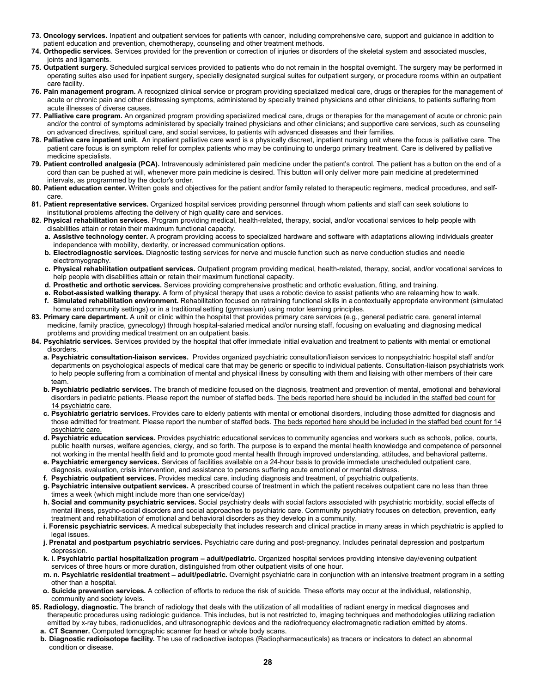- **73. Oncology services.** Inpatient and outpatient services for patients with cancer, including comprehensive care, support and guidance in addition to patient education and prevention, chemotherapy, counseling and other treatment methods.
- **74. Orthopedic services.** Services provided for the prevention or correction of injuries or disorders of the skeletal system and associated muscles, joints and ligaments.
- **75. Outpatient surgery.** Scheduled surgical services provided to patients who do not remain in the hospital overnight. The surgery may be performed in operating suites also used for inpatient surgery, specially designated surgical suites for outpatient surgery, or procedure rooms within an outpatient care facility.
- **76. Pain management program.** A recognized clinical service or program providing specialized medical care, drugs or therapies for the management of acute or chronic pain and other distressing symptoms, administered by specially trained physicians and other clinicians, to patients suffering from acute illnesses of diverse causes.
- **77. Palliative care program.** An organized program providing specialized medical care, drugs or therapies for the management of acute or chronic pain and/or the control of symptoms administered by specially trained physicians and other clinicians; and supportive care services, such as counseling on advanced directives, spiritual care, and social services, to patients with advanced diseases and their families.
- **78. Palliative care inpatient unit.** An inpatient palliative care ward is a physically discreet, inpatient nursing unit where the focus is palliative care. The patient care focus is on symptom relief for complex patients who may be continuing to undergo primary treatment. Care is delivered by palliative medicine specialists.
- **79. Patient controlled analgesia (PCA).** Intravenously administered pain medicine under the patient's control. The patient has a button on the end of a cord than can be pushed at will, whenever more pain medicine is desired. This button will only deliver more pain medicine at predetermined intervals, as programmed by the doctor's order.
- **80. Patient education center.** Written goals and objectives for the patient and/or family related to therapeutic regimens, medical procedures, and selfcare.
- **81. Patient representative services.** Organized hospital services providing personnel through whom patients and staff can seek solutions to institutional problems affecting the delivery of high quality care and services.
- **82. Physical rehabilitation services.** Program providing medical, health-related, therapy, social, and/or vocational services to help people with disabilities attain or retain their maximum functional capacity.
	- **a. Assistive technology center.** A program providing access to specialized hardware and software with adaptations allowing individuals greater independence with mobility, dexterity, or increased communication options.
	- **b. Electrodiagnostic services.** Diagnostic testing services for nerve and muscle function such as nerve conduction studies and needle electromyography.
	- **c. Physical rehabilitation outpatient services.** Outpatient program providing medical, health-related, therapy, social, and/or vocational services to help people with disabilities attain or retain their maximum functional capacity.
	- **d. Prosthetic and orthotic services.** Services providing comprehensive prosthetic and orthotic evaluation, fitting, and training.
	- **e. Robot-assisted walking therapy.** A form of physical therapy that uses a robotic device to assist patients who are relearning how to walk.
	- **f. Simulated rehabilitation environment.** Rehabilitation focused on retraining functional skills in a contextually appropriate environment (simulated home and community settings) or in a traditional setting (gymnasium) using motor learning principles.
- **83. Primary care department.** A unit or clinic within the hospital that provides primary care services (e.g., general pediatric care, general internal medicine, family practice, gynecology) through hospital-salaried medical and/or nursing staff, focusing on evaluating and diagnosing medical problems and providing medical treatment on an outpatient basis.
- **84. Psychiatric services.** Services provided by the hospital that offer immediate initial evaluation and treatment to patients with mental or emotional disorders.
	- **a. Psychiatric consultation-liaison services.** Provides organized psychiatric consultation/liaison services to nonpsychiatric hospital staff and/or departments on psychological aspects of medical care that may be generic or specific to individual patients. Consultation-liaison psychiatrists work to help people suffering from a combination of mental and physical illness by consulting with them and liaising with other members of their care team.
	- **b. Psychiatric pediatric services.** The branch of medicine focused on the diagnosis, treatment and prevention of mental, emotional and behavioral disorders in pediatric patients. Please report the number of staffed beds. The beds reported here should be included in the staffed bed count for 14 psychiatric care.
	- **c. Psychiatric geriatric services.** Provides care to elderly patients with mental or emotional disorders, including those admitted for diagnosis and those admitted for treatment. Please report the number of staffed beds. The beds reported here should be included in the staffed bed count for 14 psychiatric care.
	- **d. Psychiatric education services.** Provides psychiatric educational services to community agencies and workers such as schools, police, courts, public health nurses, welfare agencies, clergy, and so forth. The purpose is to expand the mental health knowledge and competence of personnel not working in the mental health field and to promote good mental health through improved understanding, attitudes, and behavioral patterns.
	- **e. Psychiatric emergency services.** Services of facilities available on a 24-hour basis to provide immediate unscheduled outpatient care, diagnosis, evaluation, crisis intervention, and assistance to persons suffering acute emotional or mental distress.
	- **f. Psychiatric outpatient services.** Provides medical care, including diagnosis and treatment, of psychiatric outpatients.
	- **g. Psychiatric intensive outpatient services.** A prescribed course of treatment in which the patient receives outpatient care no less than three times a week (which might include more than one service/day)
	- **h. Social and community psychiatric services.** Social psychiatry deals with social factors associated with psychiatric morbidity, social effects of mental illness, psycho-social disorders and social approaches to psychiatric care. Community psychiatry focuses on detection, prevention, early treatment and rehabilitation of emotional and behavioral disorders as they develop in a community.
	- **i. Forensic psychiatric services.** A medical subspecialty that includes research and clinical practice in many areas in which psychiatric is applied to legal issues.
	- **j. Prenatal and postpartum psychiatric services.** Psychiatric care during and post-pregnancy. Includes perinatal depression and postpartum depression.
	- **k. l. Psychiatric partial hospitalization program – adult/pediatric.** Organized hospital services providing intensive day/evening outpatient services of three hours or more duration, distinguished from other outpatient visits of one hour.
	- **m. n. Psychiatric residential treatment – adult/pediatric.** Overnight psychiatric care in conjunction with an intensive treatment program in a setting other than a hospital.
	- **o. Suicide prevention services.** A collection of efforts to reduce the risk of suicide. These efforts may occur at the individual, relationship, community and society levels.
- **85. Radiology, diagnostic.** The branch of radiology that deals with the utilization of all modalities of radiant energy in medical diagnoses and therapeutic procedures using radiologic guidance. This includes, but is not restricted to, imaging techniques and methodologies utilizing radiation emitted by x-ray tubes, radionuclides, and ultrasonographic devices and the radiofrequency electromagnetic radiation emitted by atoms.
	- **a. CT Scanner.** Computed tomographic scanner for head or whole body scans.
	- **b. Diagnostic radioisotope facility.** The use of radioactive isotopes (Radiopharmaceuticals) as tracers or indicators to detect an abnormal condition or disease.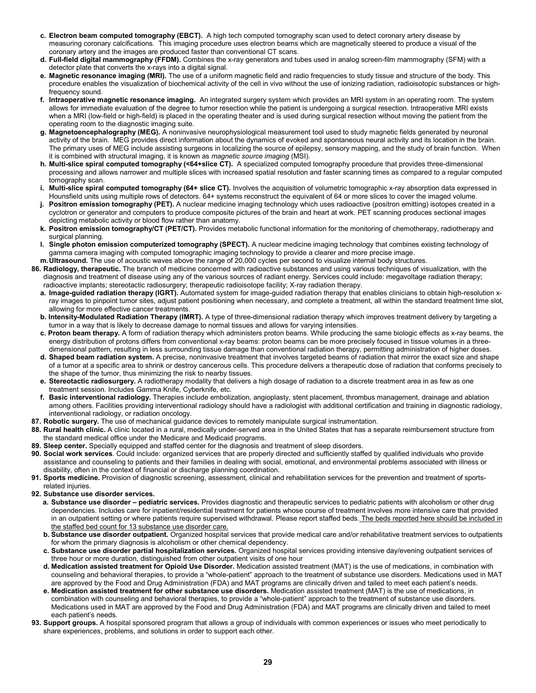- **c. Electron beam computed tomography (EBCT).** A high tech computed tomography scan used to detect coronary artery disease by measuring coronary calcifications. This imaging procedure uses electron beams which are magnetically steered to produce a visual of the coronary artery and the images are produced faster than conventional CT scans.
- **d. Full-field digital mammography (FFDM).** Combines the x-ray generators and tubes used in analog screen-film mammography (SFM) with a detector plate that converts the x-rays into a digital signal.
- **e. Magnetic resonance imaging (MRI).** The use of a uniform magnetic field and radio frequencies to study tissue and structure of the body. This procedure enables the visualization of biochemical activity of the cell in vivo without the use of ionizing radiation, radioisotopic substances or highfrequency sound.
- **f. Intraoperative magnetic resonance imaging.** An integrated surgery system which provides an MRI system in an operating room. The system allows for immediate evaluation of the degree to tumor resection while the patient is undergoing a surgical resection. Intraoperative MRI exists when a MRI (low-field or high-field) is placed in the operating theater and is used during surgical resection without moving the patient from the operating room to the diagnostic imaging suite.
- **g. Magnetoencephalography (MEG).** A noninvasive neurophysiological measurement tool used to study magnetic fields generated by neuronal activity of the brain. MEG provides direct information about the dynamics of evoked and spontaneous neural activity and its location in the brain. The primary uses of MEG include assisting surgeons in localizing the source of epilepsy, sensory mapping, and the study of brain function. When it is combined with structural imaging, it is known as *magnetic source imaging* (MSI).
- **h. Multi-slice spiral computed tomography (<64+slice CT).** A specialized computed tomography procedure that provides three-dimensional processing and allows narrower and multiple slices with increased spatial resolution and faster scanning times as compared to a regular computed tomography scan.
- **i. Multi-slice spiral computed tomography (64+ slice CT).** Involves the acquisition of volumetric tomographic x-ray absorption data expressed in Hounsfield units using multiple rows of detectors. 64+ systems reconstruct the equivalent of 64 or more slices to cover the imaged volume.
- **j. Positron emission tomography (PET).** A nuclear medicine imaging technology which uses radioactive (positron emitting) isotopes created in a cyclotron or generator and computers to produce composite pictures of the brain and heart at work. PET scanning produces sectional images depicting metabolic activity or blood flow rather than anatomy.
- **k. Positron emission tomography/CT (PET/CT).** Provides metabolic functional information for the monitoring of chemotherapy, radiotherapy and surgical planning.
- **l. Single photon emission computerized tomography (SPECT).** A nuclear medicine imaging technology that combines existing technology of gamma camera imaging with computed tomographic imaging technology to provide a clearer and more precise image.
- **m.Ultrasound.** The use of acoustic waves above the range of 20,000 cycles per second to visualize internal body structures.
- **86. Radiology, therapeutic.** The branch of medicine concerned with radioactive substances and using various techniques of visualization, with the diagnosis and treatment of disease using any of the various sources of radiant energy. Services could include: megavoltage radiation therapy; radioactive implants; stereotactic radiosurgery; therapeutic radioisotope facility; X-ray radiation therapy.
	- **a. Image-guided radiation therapy (IGRT).** Automated system for image-guided radiation therapy that enables clinicians to obtain high-resolution xray images to pinpoint tumor sites, adjust patient positioning when necessary, and complete a treatment, all within the standard treatment time slot, allowing for more effective cancer treatments.
	- **b. Intensity-Modulated Radiation Therapy (IMRT).** A type of three-dimensional radiation therapy which improves treatment delivery by targeting a tumor in a way that is likely to decrease damage to normal tissues and allows for varying intensities.
	- **c. Proton beam therapy.** A form of radiation therapy which administers proton beams. While producing the same biologic effects as x-ray beams, the energy distribution of protons differs from conventional x-ray beams: proton beams can be more precisely focused in tissue volumes in a threedimensional pattern, resulting in less surrounding tissue damage than conventional radiation therapy, permitting administration of higher doses.
	- **d. Shaped beam radiation system.** A precise, noninvasive treatment that involves targeted beams of radiation that mirror the exact size and shape of a tumor at a specific area to shrink or destroy cancerous cells. This procedure delivers a therapeutic dose of radiation that conforms precisely to the shape of the tumor, thus minimizing the risk to nearby tissues.
	- **e. Stereotactic radiosurgery.** A radiotherapy modality that delivers a high dosage of radiation to a discrete treatment area in as few as one treatment session. Includes Gamma Knife, Cyberknife, etc.
	- **Basic interventional radiology.** Therapies include embolization, angioplasty, stent placement, thrombus management, drainage and ablation among others. Facilities providing interventional radiology should have a radiologist with additional certification and training in diagnostic radiology, interventional radiology, or radiation oncology.
- **87. Robotic surgery.** The use of mechanical guidance devices to remotely manipulate surgical instrumentation.
- **88. Rural health clinic.** A clinic located in a rural, medically under-served area in the United States that has a separate reimbursement structure from the standard medical office under the Medicare and Medicaid programs.
- **89. Sleep center.** Specially equipped and staffed center for the diagnosis and treatment of sleep disorders.
- **90. Social work services**. Could include: organized services that are properly directed and sufficiently staffed by qualified individuals who provide assistance and counseling to patients and their families in dealing with social, emotional, and environmental problems associated with illness or disability, often in the context of financial or discharge planning coordination.
- **91. Sports medicine.** Provision of diagnostic screening, assessment, clinical and rehabilitation services for the prevention and treatment of sportsrelated injuries.
- **92. Substance use disorder services.** 
	- **a. Substance use disorder – pediatric services.** Provides diagnostic and therapeutic services to pediatric patients with alcoholism or other drug dependencies. Includes care for inpatient/residential treatment for patients whose course of treatment involves more intensive care that provided in an outpatient setting or where patients require supervised withdrawal. Please report staffed beds. The beds reported here should be included in the staffed bed count for 13 substance use disorder care.
	- **b. Substance use disorder outpatient.** Organized hospital services that provide medical care and/or rehabilitative treatment services to outpatients for whom the primary diagnosis is alcoholism or other chemical dependency.
	- **c. Substance use disorder partial hospitalization services.** Organized hospital services providing intensive day/evening outpatient services of three hour or more duration, distinguished from other outpatient visits of one hour
	- **d. Medication assisted treatment for Opioid Use Disorder.** Medication assisted treatment (MAT) is the use of medications, in combination with counseling and behavioral therapies, to provide a "whole-patient" approach to the treatment of substance use disorders. Medications used in MAT are approved by the Food and Drug Administration (FDA) and MAT programs are clinically driven and tailed to meet each patient's needs.
	- **e. Medication assisted treatment for other substance use disorders.** Medication assisted treatment (MAT) is the use of medications, in combination with counseling and behavioral therapies, to provide a "whole-patient" approach to the treatment of substance use disorders. Medications used in MAT are approved by the Food and Drug Administration (FDA) and MAT programs are clinically driven and tailed to meet each patient's needs.
- **93. Support groups.** A hospital sponsored program that allows a group of individuals with common experiences or issues who meet periodically to share experiences, problems, and solutions in order to support each other.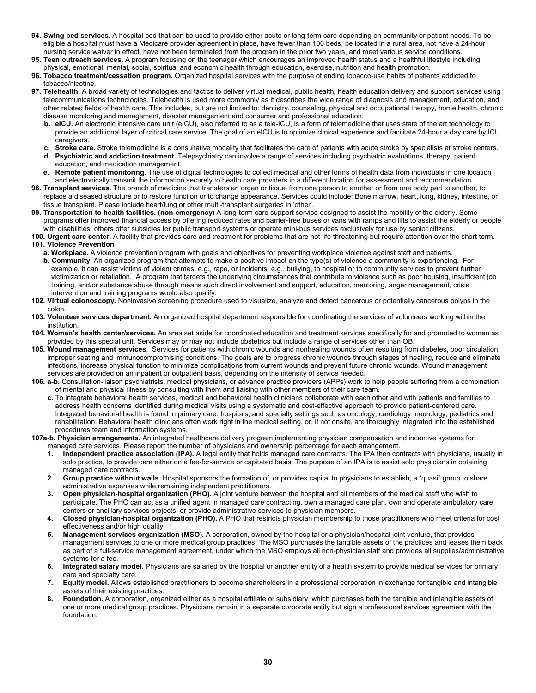- **94. Swing bed services.** A hospital bed that can be used to provide either acute or long-term care depending on community or patient needs. To be eligible a hospital must have a Medicare provider agreement in place, have fewer than 100 beds, be located in a rural area, not have a 24-hour nursing service waiver in effect, have not been terminated from the program in the prior two years, and meet various service conditions.
- **95. Teen outreach services.** A program focusing on the teenager which encourages an improved health status and a healthful lifestyle including physical, emotional, mental, social, spiritual and economic health through education, exercise, nutrition and health promotion.
- **96. Tobacco treatment/cessation program.** Organized hospital services with the purpose of ending tobacco-use habits of patients addicted to tobacco/nicotine.
- **97. Telehealth.** A broad variety of technologies and tactics to deliver virtual medical, public health, health education delivery and support services using telecommunications technologies. Telehealth is used more commonly as it describes the wide range of diagnosis and management, education, and other related fields of health care. This includes, but are not limited to: dentistry, counseling, physical and occupational therapy, home health, chronic disease monitoring and management, disaster management and consumer and professional education.
	- **b. eICU.** An electronic intensive care unit (eICU), also referred to as a tele-ICU, is a form of telemedicine that uses state of the art technology to provide an additional layer of critical care service. The goal of an eICU is to optimize clinical experience and facilitate 24-hour a day care by ICU caregivers.
	- **c. Stroke care.** Stroke telemedicine is a consultative modality that facilitates the care of patients with acute stroke by specialists at stroke centers.
	- **d. Psychiatric and addiction treatment.** Telepsychiatry can involve a range of services including psychiatric evaluations, therapy, patient education, and medication management.
	- **e. Remote patient monitoring.** The use of digital technologies to collect medical and other forms of health data from individuals in one location and electronically transmit the information securely to health care providers in a different location for assessment and recommendation.
- **98. Transplant services.** The branch of medicine that transfers an organ or tissue from one person to another or from one body part to another, to replace a diseased structure or to restore function or to change appearance. Services could include: Bone marrow, heart, lung, kidney, intestine, or tissue transplant. Please include heart/lung or other multi-transplant surgeries in 'other'.
- **99. Transportation to health facilities. (non-emergency)** A long-term care support service designed to assist the mobility of the elderly. Some programs offer improved financial access by offering reduced rates and barrier-free buses or vans with ramps and lifts to assist the elderly or people with disabilities; others offer subsidies for public transport systems or operate mini-bus services exclusively for use by senior citizens.
- **100. Urgent care center.** A facility that provides care and treatment for problems that are not life threatening but require attention over the short term. **101. Violence Prevention**
- **a. Workplace.** A violence prevention program with goals and objectives for preventing workplace violence against staff and patients.
	- **b. Community**. An organized program that attempts to make a positive impact on the type(s) of violence a community is experiencing. For example, it can assist victims of violent crimes, e.g., rape, or incidents, e.g., bullying, to hospital or to community services to prevent further victimization or retaliation. A program that targets the underlying circumstances that contribute to violence such as poor housing, insufficient job training, and/or substance abuse through means such direct involvement and support, education, mentoring, anger management, crisis intervention and training programs would also qualify.
- **102. Virtual colonoscopy.** Noninvasive screening procedure used to visualize, analyze and detect cancerous or potentially cancerous polyps in the colon.
- **103. Volunteer services department.** An organized hospital department responsible for coordinating the services of volunteers working within the institution.
- **104. Women's health center/services.** An area set aside for coordinated education and treatment services specifically for and promoted to women as provided by this special unit. Services may or may not include obstetrics but include a range of services other than OB.
- **105. Wound management services**. Services for patients with chronic wounds and nonhealing wounds often resulting from diabetes, poor circulation, improper seating and immunocompromising conditions. The goals are to progress chronic wounds through stages of healing, reduce and eliminate infections, increase physical function to minimize complications from current wounds and prevent future chronic wounds. Wound management services are provided on an inpatient or outpatient basis, depending on the intensity of service needed.
- **106. a-b.** Consultation-liaison psychiatrists, medical physicians, or advance practice providers (APPs) work to help people suffering from a combination of mental and physical illness by consulting with them and liaising with other members of their care team.
	- **c.** To integrate behavioral health services, medical and behavioral health clinicians collaborate with each other and with patients and families to address health concerns identified during medical visits using a systematic and cost-effective approach to provide patient-centered care. Integrated behavioral health is found in primary care, hospitals, and specialty settings such as oncology, cardiology, neurology, pediatrics and rehabilitation. Behavioral health clinicians often work right in the medical setting, or, if not onsite, are thoroughly integrated into the established procedures team and information systems.
- **107a-b. Physician arrangements.** An integrated healthcare delivery program implementing physician compensation and incentive systems for managed care services. Please report the number of physicians and ownership percentage for each arrangement.
	- **1. Independent practice association (IPA).** A legal entity that holds managed care contracts. The IPA then contracts with physicians, usually in solo practice, to provide care either on a fee-for-service or capitated basis. The purpose of an IPA is to assist solo physicians in obtaining managed care contracts.
	- **2. Group practice without walls**. Hospital sponsors the formation of, or provides capital to physicians to establish, a "quasi" group to share administrative expenses while remaining independent practitioners.
	- **3. Open physician-hospital organization (PHO).** A joint venture between the hospital and all members of the medical staff who wish to participate. The PHO can act as a unified agent in managed care contracting, own a managed care plan, own and operate ambulatory care centers or ancillary services projects, or provide administrative services to physician members.
	- **4. Closed physician-hospital organization (PHO).** A PHO that restricts physician membership to those practitioners who meet criteria for cost effectiveness and/or high quality.
	- **5. Management services organization (MSO).** A corporation, owned by the hospital or a physician/hospital joint venture, that provides management services to one or more medical group practices. The MSO purchases the tangible assets of the practices and leases them back as part of a full-service management agreement, under which the MSO employs all non-physician staff and provides all supplies/administrative systems for a fee.
	- **6. Integrated salary model.** Physicians are salaried by the hospital or another entity of a health system to provide medical services for primary care and specialty care.
	- **7. Equity model.** Allows established practitioners to become shareholders in a professional corporation in exchange for tangible and intangible assets of their existing practices.
	- **8. Foundation.** A corporation, organized either as a hospital affiliate or subsidiary, which purchases both the tangible and intangible assets of one or more medical group practices. Physicians remain in a separate corporate entity but sign a professional services agreement with the foundation.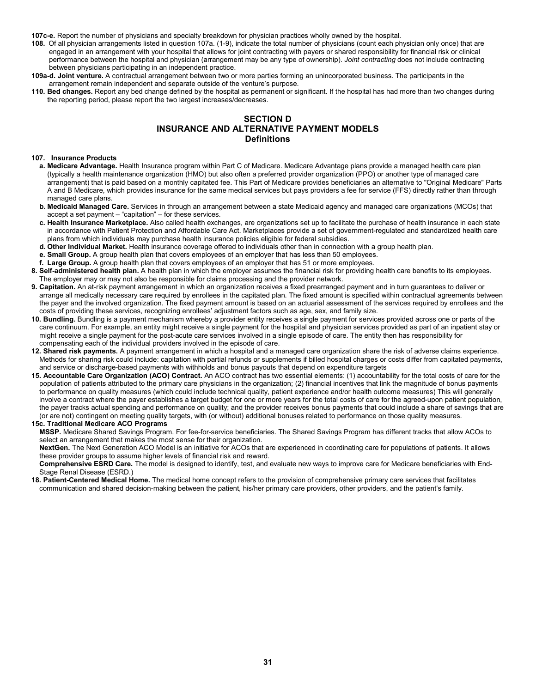**107c-e.** Report the number of physicians and specialty breakdown for physician practices wholly owned by the hospital.

- **108.** Of all physician arrangements listed in question 107a. (1-9), indicate the total number of physicians (count each physician only once) that are engaged in an arrangement with your hospital that allows for joint contracting with payers or shared responsibility for financial risk or clinical performance between the hospital and physician (arrangement may be any type of ownership). *Joint contracting* does not include contracting between physicians participating in an independent practice.
- **109a-d. Joint venture.** A contractual arrangement between two or more parties forming an unincorporated business. The participants in the arrangement remain independent and separate outside of the venture's purpose.
- **110. Bed changes.** Report any bed change defined by the hospital as permanent or significant. If the hospital has had more than two changes during the reporting period, please report the two largest increases/decreases.

### **SECTION D INSURANCE AND ALTERNATIVE PAYMENT MODELS Definitions**

#### **107. Insurance Products**

- **a. Medicare Advantage.** Health Insurance program within Part C of Medicare. Medicare Advantage plans provide a managed health care plan (typically a health maintenance organization (HMO) but also often a preferred provider organization (PPO) or another type of managed care arrangement) that is paid based on a monthly capitated fee. This Part of Medicare provides beneficiaries an alternative to "Original Medicare" Parts A and B Medicare, which provides insurance for the same medical services but pays providers a fee for service (FFS) directly rather than through managed care plans.
- **b. Medicaid Managed Care.** Services in through an arrangement between a state Medicaid agency and managed care organizations (MCOs) that accept a set payment – "capitation" – for these services.
- **c. Health Insurance Marketplace.** Also called health exchanges, are organizations set up to facilitate the purchase of health insurance in each state in accordance with Patient Protection and Affordable Care Act. Marketplaces provide a set of government-regulated and standardized health care plans from which individuals may purchase health insurance policies eligible for federal subsidies.
- **d. Other Individual Market.** Health insurance coverage offered to individuals other than in connection with a group health plan.
- **e. Small Group.** A group health plan that covers employees of an employer that has less than 50 employees.
- **f. Large Group.** A group health plan that covers employees of an employer that has 51 or more employees.
- **8. Self-administered health plan.** A health plan in which the employer assumes the financial risk for providing health care benefits to its employees. The employer may or may not also be responsible for claims processing and the provider network.
- **9. Capitation.** An at-risk payment arrangement in which an organization receives a fixed prearranged payment and in turn guarantees to deliver or arrange all medically necessary care required by enrollees in the capitated plan. The fixed amount is specified within contractual agreements between the payer and the involved organization. The fixed payment amount is based on an actuarial assessment of the services required by enrollees and the costs of providing these services, recognizing enrollees' adjustment factors such as age, sex, and family size.
- **10. Bundling.** Bundling is a payment mechanism whereby a provider entity receives a single payment for services provided across one or parts of the care continuum. For example, an entity might receive a single payment for the hospital and physician services provided as part of an inpatient stay or might receive a single payment for the post-acute care services involved in a single episode of care. The entity then has responsibility for compensating each of the individual providers involved in the episode of care.
- **12. Shared risk payments.** A payment arrangement in which a hospital and a managed care organization share the risk of adverse claims experience. Methods for sharing risk could include: capitation with partial refunds or supplements if billed hospital charges or costs differ from capitated payments, and service or discharge-based payments with withholds and bonus payouts that depend on expenditure targets
- **15. Accountable Care Organization (ACO) Contract.** An ACO contract has two essential elements: (1) accountability for the total costs of care for the population of patients attributed to the primary care physicians in the organization; (2) financial incentives that link the magnitude of bonus payments to performance on quality measures (which could include technical quality, patient experience and/or health outcome measures) This will generally involve a contract where the payer establishes a target budget for one or more years for the total costs of care for the agreed-upon patient population, the payer tracks actual spending and performance on quality; and the provider receives bonus payments that could include a share of savings that are (or are not) contingent on meeting quality targets, with (or without) additional bonuses related to performance on those quality measures.

#### **15c. Traditional Medicare ACO Programs**

**MSSP.** Medicare Shared Savings Program. For fee-for-service beneficiaries. The Shared Savings Program has different tracks that allow ACOs to select an arrangement that makes the most sense for their organization.

**NextGen.** The Next Generation ACO Model is an initiative for ACOs that are experienced in coordinating care for populations of patients. It allows these provider groups to assume higher levels of financial risk and reward.

**Comprehensive ESRD Care.** The model is designed to identify, test, and evaluate new ways to improve care for Medicare beneficiaries with End-Stage Renal Disease (ESRD.)

**18. Patient-Centered Medical Home.** The medical home concept refers to the provision of comprehensive primary care services that facilitates communication and shared decision-making between the patient, his/her primary care providers, other providers, and the patient's family.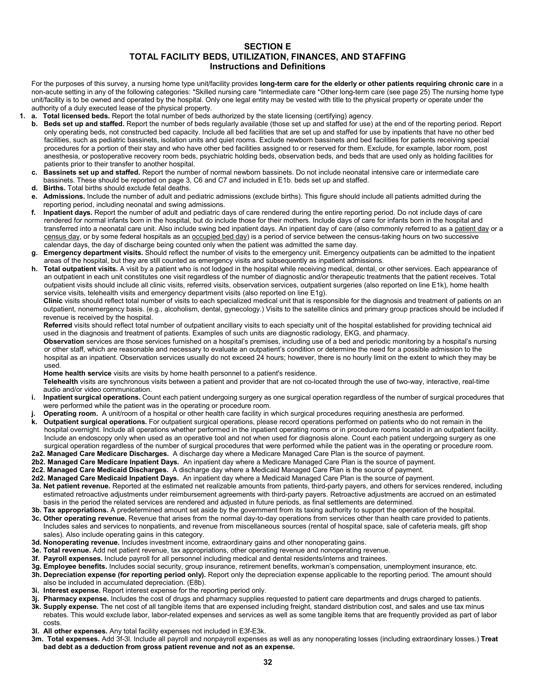### **SECTION E TOTAL FACILITY BEDS, UTILIZATION, FINANCES, AND STAFFING Instructions and Definitions**

For the purposes of this survey, a nursing home type unit/facility provides **long-term care for the elderly or other patients requiring chronic care** in a non-acute setting in any of the following categories: \*Skilled nursing care \*Intermediate care \*Other long-term care (see page 25) The nursing home type unit/facility is to be owned and operated by the hospital. Only one legal entity may be vested with title to the physical property or operate under the authority of a duly executed lease of the physical property.

- **1. a. Total licensed beds.** Report the total number of beds authorized by the state licensing (certifying) agency.
	- **b. Beds set up and staffed.** Report the number of beds regularly available (those set up and staffed for use) at the end of the reporting period. Report only operating beds, not constructed bed capacity. Include all bed facilities that are set up and staffed for use by inpatients that have no other bed facilities, such as pediatric bassinets, isolation units and quiet rooms. Exclude newborn bassinets and bed facilities for patients receiving special procedures for a portion of their stay and who have other bed facilities assigned to or reserved for them. Exclude, for example, labor room, post anesthesia, or postoperative recovery room beds, psychiatric holding beds, observation beds, and beds that are used only as holding facilities for patients prior to their transfer to another hospital.
	- **c. Bassinets set up and staffed.** Report the number of normal newborn bassinets. Do not include neonatal intensive care or intermediate care bassinets. These should be reported on page 3, C6 and C7 and included in E1b. beds set up and staffed.
	- **d. Births.** Total births should exclude fetal deaths.
	- **e. Admissions.** Include the number of adult and pediatric admissions (exclude births). This figure should include all patients admitted during the reporting period, including neonatal and swing admissions.
	- **f. Inpatient days.** Report the number of adult and pediatric days of care rendered during the entire reporting period. Do not include days of care rendered for normal infants born in the hospital, but do include those for their mothers. Include days of care for infants born in the hospital and transferred into a neonatal care unit. Also include swing bed inpatient days. An inpatient day of care (also commonly referred to as a patient day or a census day, or by some federal hospitals as an occupied bed day) is a period of service between the census-taking hours on two successive calendar days, the day of discharge being counted only when the patient was admitted the same day.
	- **g. Emergency department visits.** Should reflect the number of visits to the emergency unit. Emergency outpatients can be admitted to the inpatient areas of the hospital, but they are still counted as emergency visits and subsequently as inpatient admissions.
	- **h. Total outpatient visits.** A visit by a patient who is not lodged in the hospital while receiving medical, dental, or other services. Each appearance of an outpatient in each unit constitutes one visit regardless of the number of diagnostic and/or therapeutic treatments that the patient receives. Total outpatient visits should include all clinic visits, referred visits, observation services, outpatient surgeries (also reported on line E1k), home health service visits, telehealth visits and emergency department visits (also reported on line E1g).

**Clinic** visits should reflect total number of visits to each specialized medical unit that is responsible for the diagnosis and treatment of patients on an outpatient, nonemergency basis. (e.g., alcoholism, dental, gynecology.) Visits to the satellite clinics and primary group practices should be included if revenue is received by the hospital.

**Referred** visits should reflect total number of outpatient ancillary visits to each specialty unit of the hospital established for providing technical aid used in the diagnosis and treatment of patients. Examples of such units are diagnostic radiology, EKG, and pharmacy.

**Observation** services are those services furnished on a hospital's premises, including use of a bed and periodic monitoring by a hospital's nursing or other staff, which are reasonable and necessary to evaluate an outpatient's condition or determine the need for a possible admission to the hospital as an inpatient. Observation services usually do not exceed 24 hours; however, there is no hourly limit on the extent to which they may be used.

**Home health service** visits are visits by home health personnel to a patient's residence.

**Telehealth** visits are synchronous visits between a patient and provider that are not co-located through the use of two-way, interactive, real-time audio and/or video communication.

- **i. Inpatient surgical operations.** Count each patient undergoing surgery as one surgical operation regardless of the number of surgical procedures that were performed while the patient was in the operating or procedure room.
- **j. Operating room.** A unit/room of a hospital or other health care facility in which surgical procedures requiring anesthesia are performed.
- **k. Outpatient surgical operations.** For outpatient surgical operations, please record operations performed on patients who do not remain in the hospital overnight. Include all operations whether performed in the inpatient operating rooms or in procedure rooms located in an outpatient facility. Include an endoscopy only when used as an operative tool and not when used for diagnosis alone. Count each patient undergoing surgery as one surgical operation regardless of the number of surgical procedures that were performed while the patient was in the operating or procedure room.
- **2a2. Managed Care Medicare Discharges.** A discharge day where a Medicare Managed Care Plan is the source of payment.
- **2b2. Managed Care Medicare Inpatient Days.** An inpatient day where a Medicare Managed Care Plan is the source of payment.

**2c2. Managed Care Medicaid Discharges.** A discharge day where a Medicaid Managed Care Plan is the source of payment.

- **2d2. Managed Care Medicaid Inpatient Days.** An inpatient day where a Medicaid Managed Care Plan is the source of payment.
- **3a. Net patient revenue.** Reported at the estimated net realizable amounts from patients, third-party payers, and others for services rendered, including estimated retroactive adjustments under reimbursement agreements with third-party payers. Retroactive adjustments are accrued on an estimated basis in the period the related services are rendered and adjusted in future periods, as final settlements are determined.
- **3b. Tax appropriations.** A predetermined amount set aside by the government from its taxing authority to support the operation of the hospital.
- **3c. Other operating revenue.** Revenue that arises from the normal day-to-day operations from services other than health care provided to patients. Includes sales and services to nonpatients, and revenue from miscellaneous sources (rental of hospital space, sale of cafeteria meals, gift shop sales). Also include operating gains in this category.
- **3d. Nonoperating revenue.** Includes investment income, extraordinary gains and other nonoperating gains.
- **3e. Total revenue.** Add net patient revenue, tax appropriations, other operating revenue and nonoperating revenue.
- **3f. Payroll expenses.** Include payroll for all personnel including medical and dental residents/interns and trainees.
- **3g. Employee benefits.** Includes social security, group insurance, retirement benefits, workman's compensation, unemployment insurance, etc.
- **3h. Depreciation expense (for reporting period only).** Report only the depreciation expense applicable to the reporting period. The amount should also be included in accumulated depreciation. (E8b).
- **3i. Interest expense.** Report interest expense for the reporting period only.
- **3j. Pharmacy expense.** Includes the cost of drugs and pharmacy supplies requested to patient care departments and drugs charged to patients.
- **3k. Supply expense.** The net cost of all tangible items that are expensed including freight, standard distribution cost, and sales and use tax minus rebates. This would exclude labor, labor-related expenses and services as well as some tangible items that are frequently provided as part of labor costs.
- **3l. All other expenses.** Any total facility expenses not included in E3f-E3k.
- **3m. Total expenses.** Add 3f-3l. Include all payroll and nonpayroll expenses as well as any nonoperating losses (including extraordinary losses.) **Treat bad debt as a deduction from gross patient revenue and not as an expense.**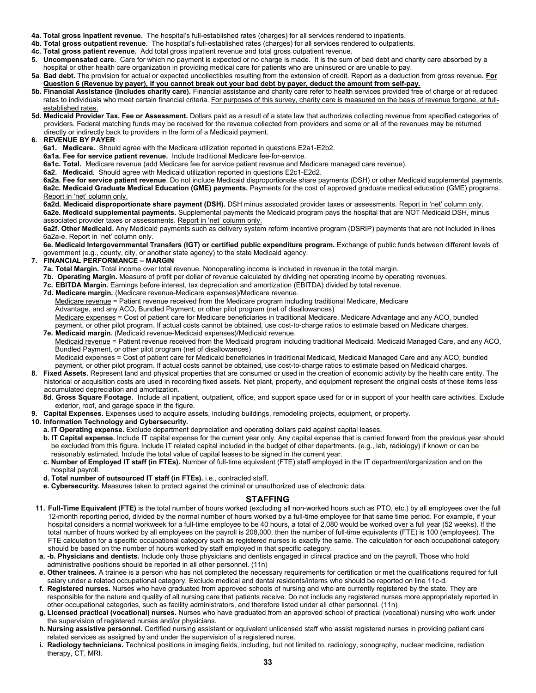- **4a. Total gross inpatient revenue.** The hospital's full-established rates (charges) for all services rendered to inpatients.
- **4b. Total gross outpatient revenue**. The hospital's full-established rates (charges) for all services rendered to outpatients.
- **4c. Total gross patient revenue.** Add total gross inpatient revenue and total gross outpatient revenue.
- **5. Uncompensated care.** Care for which no payment is expected or no charge is made. It is the sum of bad debt and charity care absorbed by a hospital or other health care organization in providing medical care for patients who are uninsured or are unable to pay.
- **5a**. **Bad debt.** The provision for actual or expected uncollectibles resulting from the extension of credit. Report as a deduction from gross revenue**. For Question 6 (Revenue by payer), if you cannot break out your bad debt by payer, deduct the amount from self-pay.**
- **5b. Financial Assistance (Includes charity care).** Financial assistance and charity care refer to health services provided free of charge or at reduced rates to individuals who meet certain financial criteria. For purposes of this survey, charity care is measured on the basis of revenue forgone, at fullestablished rates.
- **5d. Medicaid Provider Tax, Fee or Assessment.** Dollars paid as a result of a state law that authorizes collecting revenue from specified categories of providers. Federal matching funds may be received for the revenue collected from providers and some or all of the revenues may be returned directly or indirectly back to providers in the form of a Medicaid payment.
- **6. REVENUE BY PAYER**

**6a1. Medicare.** Should agree with the Medicare utilization reported in questions E2a1-E2b2.

- **6a1a. Fee for service patient revenue.** Include traditional Medicare fee-for-service.
- **6a1c. Total.** Medicare revenue (add Medicare fee for service patient revenue and Medicare managed care revenue).
- **6a2. Medicaid.** Should agree with Medicaid utilization reported in questions E2c1-E2d2.

**6a2a. Fee for service patient revenue**. Do not include Medicaid disproportionate share payments (DSH) or other Medicaid supplemental payments. **6a2c. Medicaid Graduate Medical Education (GME) payments.** Payments for the cost of approved graduate medical education (GME) programs. Report in 'net' column only.

**6a2d. Medicaid disproportionate share payment (DSH).** DSH minus associated provider taxes or assessments. Report in 'net' column only. **6a2e. Medicaid supplemental payments.** Supplemental payments the Medicaid program pays the hospital that are NOT Medicaid DSH, minus associated provider taxes or assessments. Report in 'net' column only.

**6a2f. Other Medicaid.** Any Medicaid payments such as delivery system reform incentive program (DSRIP) payments that are not included in lines 6a2a-e. Report in 'net' column only.

6e. Medicaid Intergovernmental Transfers (IGT) or certified public expenditure program. Exchange of public funds between different levels of government (e.g., county, city, or another state agency) to the state Medicaid agency.

- **7. FINANCIAL PERFORMANCE – MARGIN**
	- **7a. Total Margin.** Total income over total revenue. Nonoperating income is included in revenue in the total margin.
	- **7b. Operating Margin.** Measure of profit per dollar of revenue calculated by dividing net operating income by operating revenues.
	- **7c. EBITDA Margin.** Earnings before interest, tax depreciation and amortization (EBITDA) divided by total revenue.
	- **7d. Medicare margin.** (Medicare revenue-Medicare expenses)/Medicare revenue.

Medicare revenue = Patient revenue received from the Medicare program including traditional Medicare, Medicare Advantage, and any ACO, Bundled Payment, or other pilot program (net of disallowances) Medicare expenses = Cost of patient care for Medicare beneficiaries in traditional Medicare, Medicare Advantage and any ACO, bundled payment, or other pilot program. If actual costs cannot be obtained, use cost-to-charge ratios to estimate based on Medicare charges.

**7e. Medicaid margin.** (Medicaid revenue-Medicaid expenses)/Medicaid revenue. Medicaid revenue = Patient revenue received from the Medicaid program including traditional Medicaid, Medicaid Managed Care, and any ACO, Bundled Payment, or other pilot program (net of disallowances) Medicaid expenses = Cost of patient care for Medicaid beneficiaries in traditional Medicaid, Medicaid Managed Care and any ACO, bundled

payment, or other pilot program. If actual costs cannot be obtained, use cost-to-charge ratios to estimate based on Medicaid charges. **8. Fixed Assets.** Represent land and physical properties that are consumed or used in the creation of economic activity by the health care entity. The historical or acquisition costs are used in recording fixed assets. Net plant, property, and equipment represent the original costs of these items less

accumulated depreciation and amortization. **8d. Gross Square Footage.** Include all inpatient, outpatient, office, and support space used for or in support of your health care activities. Exclude exterior, roof, and garage space in the figure.

- **9. Capital Expenses.** Expenses used to acquire assets, including buildings, remodeling projects, equipment, or property.
- **10. Information Technology and Cybersecurity.** 
	- **a. IT Operating expense.** Exclude department depreciation and operating dollars paid against capital leases.
	- **b. IT Capital expense.** Include IT capital expense for the current year only. Any capital expense that is carried forward from the previous year should be excluded from this figure. Include IT related capital included in the budget of other departments. (e.g., lab, radiology) if known or can be reasonably estimated. Include the total value of capital leases to be signed in the current year.
	- **c. Number of Employed IT staff (in FTEs).** Number of full-time equivalent (FTE) staff employed in the IT department/organization and on the hospital payroll.
	- **d. Total number of outsourced IT staff (in FTEs).** i.e., contracted staff.
	- **e. Cybersecurity.** Measures taken to protect against the criminal or unauthorized use of electronic data.

### **STAFFING**

- **11. Full-Time Equivalent (FTE)** is the total number of hours worked (excluding all non-worked hours such as PTO, etc.) by all employees over the full 12-month reporting period, divided by the normal number of hours worked by a full-time employee for that same time period. For example, if your hospital considers a normal workweek for a full-time employee to be 40 hours, a total of 2,080 would be worked over a full year (52 weeks). If the total number of hours worked by all employees on the payroll is 208,000, then the number of full-time equivalents (FTE) is 100 (employees). The FTE calculation for a specific occupational category such as registered nurses is exactly the same. The calculation for each occupational category should be based on the number of hours worked by staff employed in that specific category.
- **a. -b. Physicians and dentists.** Include only those physicians and dentists engaged in clinical practice and on the payroll. Those who hold administrative positions should be reported in all other personnel. (11n)
- **e. Other trainees.** A trainee is a person who has not completed the necessary requirements for certification or met the qualifications required for full salary under a related occupational category. Exclude medical and dental residents/interns who should be reported on line 11c-d.
- **f. Registered nurses.** Nurses who have graduated from approved schools of nursing and who are currently registered by the state. They are responsible for the nature and quality of all nursing care that patients receive. Do not include any registered nurses more appropriately reported in other occupational categories, such as facility administrators, and therefore listed under all other personnel. (11n)
- **g. Licensed practical (vocational) nurses.** Nurses who have graduated from an approved school of practical (vocational) nursing who work under the supervision of registered nurses and/or physicians.
- **h. Nursing assistive personnel.** Certified nursing assistant or equivalent unlicensed staff who assist registered nurses in providing patient care related services as assigned by and under the supervision of a registered nurse.
- **i. Radiology technicians.** Technical positions in imaging fields, including, but not limited to, radiology, sonography, nuclear medicine, radiation therapy, CT, MRI.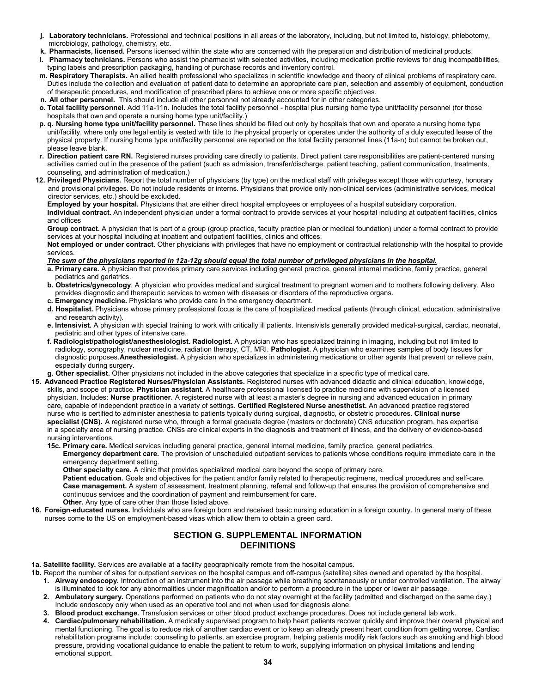- **j. Laboratory technicians.** Professional and technical positions in all areas of the laboratory, including, but not limited to, histology, phlebotomy, microbiology, pathology, chemistry, etc.
- **k. Pharmacists, licensed.** Persons licensed within the state who are concerned with the preparation and distribution of medicinal products.
- **l. Pharmacy technicians.** Persons who assist the pharmacist with selected activities, including medication profile reviews for drug incompatibilities, typing labels and prescription packaging, handling of purchase records and inventory control.
- **m. Respiratory Therapists.** An allied health professional who specializes in scientific knowledge and theory of clinical problems of respiratory care. Duties include the collection and evaluation of patient data to determine an appropriate care plan, selection and assembly of equipment, conduction of therapeutic procedures, and modification of prescribed plans to achieve one or more specific objectives.
- **n. All other personnel.** This should include all other personnel not already accounted for in other categories.
- **o. Total facility personnel.** Add 11a-11n. Includes the total facility personnel hospital plus nursing home type unit/facility personnel (for those hospitals that own and operate a nursing home type unit/facility.)
- **p. q. Nursing home type unit/facility personnel.** These lines should be filled out only by hospitals that own and operate a nursing home type unit/facility, where only one legal entity is vested with title to the physical property or operates under the authority of a duly executed lease of the physical property. If nursing home type unit/facility personnel are reported on the total facility personnel lines (11a-n) but cannot be broken out, please leave blank.
- **r. Direction patient care RN.** Registered nurses providing care directly to patients. Direct patient care responsibilities are patient-centered nursing activities carried out in the presence of the patient (such as admission, transfer/discharge, patient teaching, patient communication, treatments, counseling, and administration of medication.)
- **12. Privileged Physicians.** Report the total number of physicians (by type) on the medical staff with privileges except those with courtesy, honorary and provisional privileges. Do not include residents or interns. Physicians that provide only non-clinical services (administrative services, medical director services, etc.) should be excluded.

**Employed by your hospital.** Physicians that are either direct hospital employees or employees of a hospital subsidiary corporation. **Individual contract.** An independent physician under a formal contract to provide services at your hospital including at outpatient facilities, clinics and offices

**Group contract.** A physician that is part of a group (group practice, faculty practice plan or medical foundation) under a formal contract to provide services at your hospital including at inpatient and outpatient facilities, clinics and offices.

**Not employed or under contract.** Other physicians with privileges that have no employment or contractual relationship with the hospital to provide services.

#### *The sum of the physicians reported in 12a-12g should equal the total number of privileged physicians in the hospital.*

- **a. Primary care.** A physician that provides primary care services including general practice, general internal medicine, family practice, general pediatrics and geriatrics.
- **b. Obstetrics/gynecology**. A physician who provides medical and surgical treatment to pregnant women and to mothers following delivery. Also provides diagnostic and therapeutic services to women with diseases or disorders of the reproductive organs.
- **c. Emergency medicine.** Physicians who provide care in the emergency department.
- **d. Hospitalist.** Physicians whose primary professional focus is the care of hospitalized medical patients (through clinical, education, administrative and research activity).
- **e. Intensivist.** A physician with special training to work with critically ill patients. Intensivists generally provided medical-surgical, cardiac, neonatal, pediatric and other types of intensive care.
- **f. Radiologist/pathologist/anesthesiologist. Radiologist.** A physician who has specialized training in imaging, including but not limited to radiology, sonography, nuclear medicine, radiation therapy, CT, MRI. **Pathologist.** A physician who examines samples of body tissues for diagnostic purposes.**Anesthesiologist.** A physician who specializes in administering medications or other agents that prevent or relieve pain, especially during surgery.
- **g. Other specialist.** Other physicians not included in the above categories that specialize in a specific type of medical care.
- **15. Advanced Practice Registered Nurses/Physician Assistants.** Registered nurses with advanced didactic and clinical education, knowledge, skills, and scope of practice. **Physician assistant.** A healthcare professional licensed to practice medicine with supervision of a licensed physician. Includes: **Nurse practitioner.** A registered nurse with at least a master's degree in nursing and advanced education in primary care, capable of independent practice in a variety of settings. **Certified Registered Nurse anesthetist.** An advanced practice registered nurse who is certified to administer anesthesia to patients typically during surgical, diagnostic, or obstetric procedures. **Clinical nurse specialist (CNS).** A registered nurse who, through a formal graduate degree (masters or doctorate) CNS education program, has expertise in a specialty area of nursing practice. CNSs are clinical experts in the diagnosis and treatment of illness, and the delivery of evidence-based nursing interventions.
	- **15c. Primary care.** Medical services including general practice, general internal medicine, family practice, general pediatrics. **Emergency department care.** The provision of unscheduled outpatient services to patients whose conditions require immediate care in the emergency department setting.

**Other specialty care.** A clinic that provides specialized medical care beyond the scope of primary care.

Patient education. Goals and objectives for the patient and/or family related to therapeutic regimens, medical procedures and self-care. **Case management.** A system of assessment, treatment planning, referral and follow-up that ensures the provision of comprehensive and continuous services and the coordination of payment and reimbursement for care. **Other.** Any type of care other than those listed above.

**16. Foreign-educated nurses.** Individuals who are foreign born and received basic nursing education in a foreign country. In general many of these nurses come to the US on employment-based visas which allow them to obtain a green card.

### **SECTION G. SUPPLEMENTAL INFORMATION DEFINITIONS**

**1a. Satellite facility.** Services are available at a facility geographically remote from the hospital campus.

- **1b.** Report the number of sites for outpatient services on the hospital campus and off-campus (satellite) sites owned and operated by the hospital. **1. Airway endoscopy.** Introduction of an instrument into the air passage while breathing spontaneously or under controlled ventilation. The airway
	- is illuminated to look for any abnormalities under magnification and/or to perform a procedure in the upper or lower air passage. **2. Ambulatory surgery.** Operations performed on patients who do not stay overnight at the facility (admitted and discharged on the same day.)
	- Include endoscopy only when used as an operative tool and not when used for diagnosis alone.
	- 3. Blood product exchange. Transfusion services or other blood product exchange procedures. Does not include general lab work.
	- **4. Cardiac/pulmonary rehabilitation.** A medically supervised program to help heart patients recover quickly and improve their overall physical and mental functioning. The goal is to reduce risk of another cardiac event or to keep an already present heart condition from getting worse. Cardiac rehabilitation programs include: counseling to patients, an exercise program, helping patients modify risk factors such as smoking and high blood pressure, providing vocational guidance to enable the patient to return to work, supplying information on physical limitations and lending emotional support.